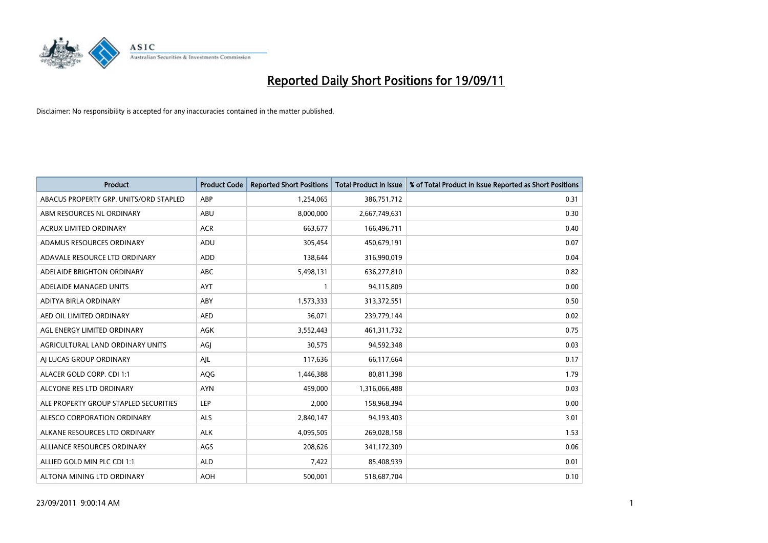

| <b>Product</b>                         | <b>Product Code</b> | <b>Reported Short Positions</b> | <b>Total Product in Issue</b> | % of Total Product in Issue Reported as Short Positions |
|----------------------------------------|---------------------|---------------------------------|-------------------------------|---------------------------------------------------------|
| ABACUS PROPERTY GRP. UNITS/ORD STAPLED | ABP                 | 1,254,065                       | 386,751,712                   | 0.31                                                    |
| ABM RESOURCES NL ORDINARY              | ABU                 | 8,000,000                       | 2,667,749,631                 | 0.30                                                    |
| <b>ACRUX LIMITED ORDINARY</b>          | <b>ACR</b>          | 663,677                         | 166,496,711                   | 0.40                                                    |
| ADAMUS RESOURCES ORDINARY              | ADU                 | 305,454                         | 450,679,191                   | 0.07                                                    |
| ADAVALE RESOURCE LTD ORDINARY          | <b>ADD</b>          | 138,644                         | 316,990,019                   | 0.04                                                    |
| ADELAIDE BRIGHTON ORDINARY             | <b>ABC</b>          | 5,498,131                       | 636,277,810                   | 0.82                                                    |
| ADELAIDE MANAGED UNITS                 | <b>AYT</b>          |                                 | 94,115,809                    | 0.00                                                    |
| ADITYA BIRLA ORDINARY                  | ABY                 | 1,573,333                       | 313,372,551                   | 0.50                                                    |
| AED OIL LIMITED ORDINARY               | <b>AED</b>          | 36,071                          | 239,779,144                   | 0.02                                                    |
| AGL ENERGY LIMITED ORDINARY            | <b>AGK</b>          | 3,552,443                       | 461,311,732                   | 0.75                                                    |
| AGRICULTURAL LAND ORDINARY UNITS       | AGJ                 | 30,575                          | 94,592,348                    | 0.03                                                    |
| AI LUCAS GROUP ORDINARY                | AJL                 | 117,636                         | 66,117,664                    | 0.17                                                    |
| ALACER GOLD CORP. CDI 1:1              | AQG                 | 1,446,388                       | 80,811,398                    | 1.79                                                    |
| ALCYONE RES LTD ORDINARY               | <b>AYN</b>          | 459,000                         | 1,316,066,488                 | 0.03                                                    |
| ALE PROPERTY GROUP STAPLED SECURITIES  | LEP                 | 2,000                           | 158,968,394                   | 0.00                                                    |
| ALESCO CORPORATION ORDINARY            | <b>ALS</b>          | 2,840,147                       | 94,193,403                    | 3.01                                                    |
| ALKANE RESOURCES LTD ORDINARY          | <b>ALK</b>          | 4,095,505                       | 269,028,158                   | 1.53                                                    |
| ALLIANCE RESOURCES ORDINARY            | AGS                 | 208,626                         | 341,172,309                   | 0.06                                                    |
| ALLIED GOLD MIN PLC CDI 1:1            | <b>ALD</b>          | 7,422                           | 85,408,939                    | 0.01                                                    |
| ALTONA MINING LTD ORDINARY             | <b>AOH</b>          | 500.001                         | 518,687,704                   | 0.10                                                    |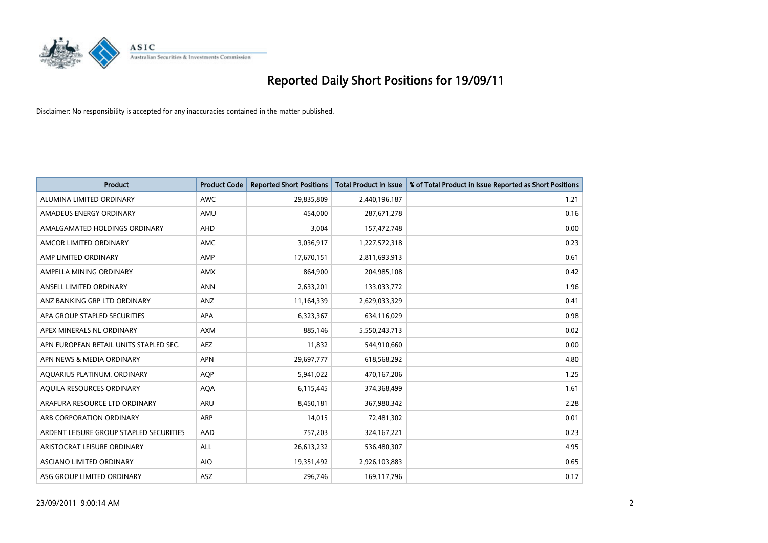

| <b>Product</b>                          | <b>Product Code</b> | <b>Reported Short Positions</b> | <b>Total Product in Issue</b> | % of Total Product in Issue Reported as Short Positions |
|-----------------------------------------|---------------------|---------------------------------|-------------------------------|---------------------------------------------------------|
| ALUMINA LIMITED ORDINARY                | <b>AWC</b>          | 29,835,809                      | 2,440,196,187                 | 1.21                                                    |
| AMADEUS ENERGY ORDINARY                 | AMU                 | 454,000                         | 287,671,278                   | 0.16                                                    |
| AMALGAMATED HOLDINGS ORDINARY           | <b>AHD</b>          | 3,004                           | 157,472,748                   | 0.00                                                    |
| AMCOR LIMITED ORDINARY                  | <b>AMC</b>          | 3,036,917                       | 1,227,572,318                 | 0.23                                                    |
| AMP LIMITED ORDINARY                    | AMP                 | 17,670,151                      | 2,811,693,913                 | 0.61                                                    |
| AMPELLA MINING ORDINARY                 | <b>AMX</b>          | 864,900                         | 204,985,108                   | 0.42                                                    |
| ANSELL LIMITED ORDINARY                 | <b>ANN</b>          | 2,633,201                       | 133,033,772                   | 1.96                                                    |
| ANZ BANKING GRP LTD ORDINARY            | ANZ                 | 11,164,339                      | 2,629,033,329                 | 0.41                                                    |
| APA GROUP STAPLED SECURITIES            | APA                 | 6,323,367                       | 634,116,029                   | 0.98                                                    |
| APEX MINERALS NL ORDINARY               | <b>AXM</b>          | 885.146                         | 5,550,243,713                 | 0.02                                                    |
| APN EUROPEAN RETAIL UNITS STAPLED SEC.  | <b>AEZ</b>          | 11,832                          | 544,910,660                   | 0.00                                                    |
| APN NEWS & MEDIA ORDINARY               | <b>APN</b>          | 29,697,777                      | 618,568,292                   | 4.80                                                    |
| AQUARIUS PLATINUM. ORDINARY             | AQP                 | 5,941,022                       | 470,167,206                   | 1.25                                                    |
| AQUILA RESOURCES ORDINARY               | <b>AQA</b>          | 6,115,445                       | 374,368,499                   | 1.61                                                    |
| ARAFURA RESOURCE LTD ORDINARY           | <b>ARU</b>          | 8,450,181                       | 367,980,342                   | 2.28                                                    |
| ARB CORPORATION ORDINARY                | <b>ARP</b>          | 14,015                          | 72,481,302                    | 0.01                                                    |
| ARDENT LEISURE GROUP STAPLED SECURITIES | AAD                 | 757,203                         | 324, 167, 221                 | 0.23                                                    |
| ARISTOCRAT LEISURE ORDINARY             | ALL                 | 26,613,232                      | 536,480,307                   | 4.95                                                    |
| ASCIANO LIMITED ORDINARY                | <b>AIO</b>          | 19,351,492                      | 2,926,103,883                 | 0.65                                                    |
| ASG GROUP LIMITED ORDINARY              | <b>ASZ</b>          | 296.746                         | 169,117,796                   | 0.17                                                    |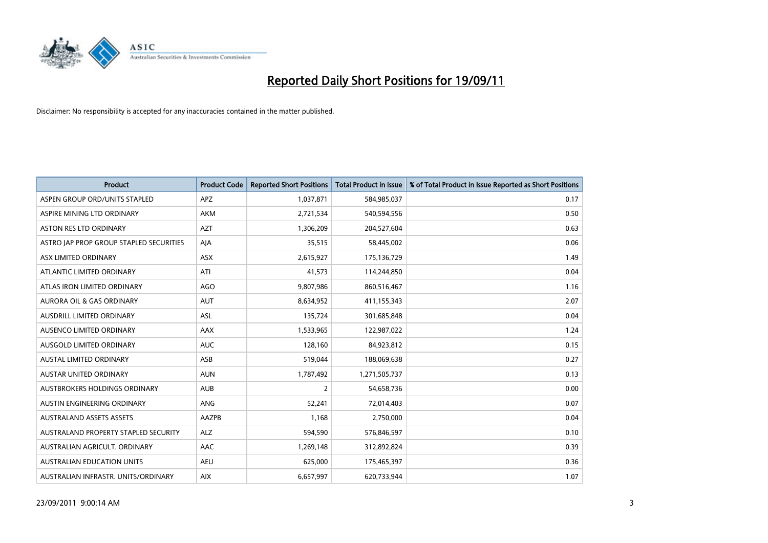

| <b>Product</b>                          | <b>Product Code</b> | <b>Reported Short Positions</b> | <b>Total Product in Issue</b> | % of Total Product in Issue Reported as Short Positions |
|-----------------------------------------|---------------------|---------------------------------|-------------------------------|---------------------------------------------------------|
| ASPEN GROUP ORD/UNITS STAPLED           | <b>APZ</b>          | 1,037,871                       | 584,985,037                   | 0.17                                                    |
| ASPIRE MINING LTD ORDINARY              | <b>AKM</b>          | 2,721,534                       | 540,594,556                   | 0.50                                                    |
| <b>ASTON RES LTD ORDINARY</b>           | <b>AZT</b>          | 1,306,209                       | 204,527,604                   | 0.63                                                    |
| ASTRO JAP PROP GROUP STAPLED SECURITIES | AJA                 | 35,515                          | 58,445,002                    | 0.06                                                    |
| ASX LIMITED ORDINARY                    | ASX                 | 2,615,927                       | 175,136,729                   | 1.49                                                    |
| ATLANTIC LIMITED ORDINARY               | ATI                 | 41,573                          | 114,244,850                   | 0.04                                                    |
| ATLAS IRON LIMITED ORDINARY             | <b>AGO</b>          | 9,807,986                       | 860,516,467                   | 1.16                                                    |
| AURORA OIL & GAS ORDINARY               | AUT                 | 8,634,952                       | 411,155,343                   | 2.07                                                    |
| AUSDRILL LIMITED ORDINARY               | <b>ASL</b>          | 135,724                         | 301,685,848                   | 0.04                                                    |
| AUSENCO LIMITED ORDINARY                | <b>AAX</b>          | 1,533,965                       | 122,987,022                   | 1.24                                                    |
| AUSGOLD LIMITED ORDINARY                | <b>AUC</b>          | 128,160                         | 84,923,812                    | 0.15                                                    |
| <b>AUSTAL LIMITED ORDINARY</b>          | ASB                 | 519,044                         | 188,069,638                   | 0.27                                                    |
| AUSTAR UNITED ORDINARY                  | <b>AUN</b>          | 1,787,492                       | 1,271,505,737                 | 0.13                                                    |
| AUSTBROKERS HOLDINGS ORDINARY           | <b>AUB</b>          | 2                               | 54,658,736                    | 0.00                                                    |
| AUSTIN ENGINEERING ORDINARY             | <b>ANG</b>          | 52,241                          | 72,014,403                    | 0.07                                                    |
| <b>AUSTRALAND ASSETS ASSETS</b>         | AAZPB               | 1,168                           | 2,750,000                     | 0.04                                                    |
| AUSTRALAND PROPERTY STAPLED SECURITY    | <b>ALZ</b>          | 594,590                         | 576,846,597                   | 0.10                                                    |
| AUSTRALIAN AGRICULT. ORDINARY           | AAC                 | 1,269,148                       | 312,892,824                   | 0.39                                                    |
| AUSTRALIAN EDUCATION UNITS              | <b>AEU</b>          | 625,000                         | 175,465,397                   | 0.36                                                    |
| AUSTRALIAN INFRASTR. UNITS/ORDINARY     | <b>AIX</b>          | 6,657,997                       | 620,733,944                   | 1.07                                                    |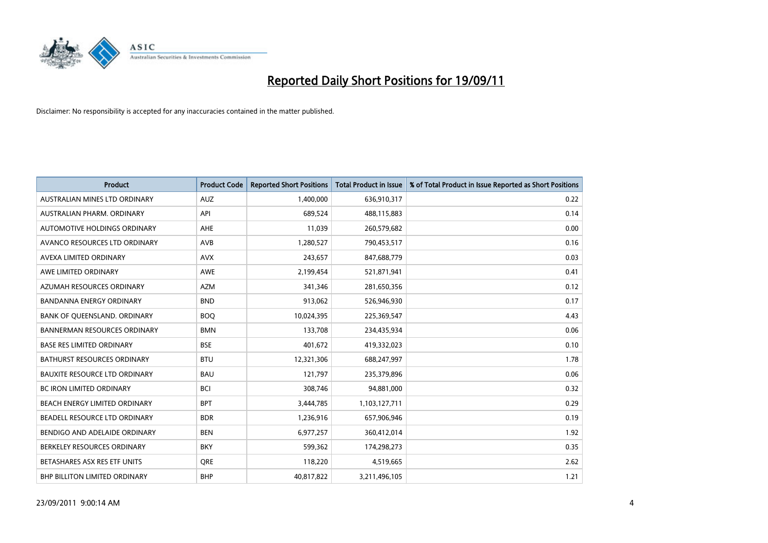

| <b>Product</b>                      | <b>Product Code</b> | <b>Reported Short Positions</b> | <b>Total Product in Issue</b> | % of Total Product in Issue Reported as Short Positions |
|-------------------------------------|---------------------|---------------------------------|-------------------------------|---------------------------------------------------------|
| AUSTRALIAN MINES LTD ORDINARY       | <b>AUZ</b>          | 1,400,000                       | 636,910,317                   | 0.22                                                    |
| AUSTRALIAN PHARM. ORDINARY          | API                 | 689,524                         | 488,115,883                   | 0.14                                                    |
| AUTOMOTIVE HOLDINGS ORDINARY        | <b>AHE</b>          | 11,039                          | 260,579,682                   | 0.00                                                    |
| AVANCO RESOURCES LTD ORDINARY       | AVB                 | 1,280,527                       | 790,453,517                   | 0.16                                                    |
| AVEXA LIMITED ORDINARY              | <b>AVX</b>          | 243,657                         | 847,688,779                   | 0.03                                                    |
| AWE LIMITED ORDINARY                | <b>AWE</b>          | 2,199,454                       | 521,871,941                   | 0.41                                                    |
| AZUMAH RESOURCES ORDINARY           | <b>AZM</b>          | 341,346                         | 281,650,356                   | 0.12                                                    |
| BANDANNA ENERGY ORDINARY            | <b>BND</b>          | 913,062                         | 526,946,930                   | 0.17                                                    |
| BANK OF QUEENSLAND. ORDINARY        | <b>BOQ</b>          | 10,024,395                      | 225,369,547                   | 4.43                                                    |
| <b>BANNERMAN RESOURCES ORDINARY</b> | <b>BMN</b>          | 133,708                         | 234,435,934                   | 0.06                                                    |
| <b>BASE RES LIMITED ORDINARY</b>    | <b>BSE</b>          | 401,672                         | 419,332,023                   | 0.10                                                    |
| <b>BATHURST RESOURCES ORDINARY</b>  | <b>BTU</b>          | 12,321,306                      | 688,247,997                   | 1.78                                                    |
| BAUXITE RESOURCE LTD ORDINARY       | <b>BAU</b>          | 121,797                         | 235,379,896                   | 0.06                                                    |
| <b>BC IRON LIMITED ORDINARY</b>     | <b>BCI</b>          | 308,746                         | 94,881,000                    | 0.32                                                    |
| BEACH ENERGY LIMITED ORDINARY       | <b>BPT</b>          | 3,444,785                       | 1,103,127,711                 | 0.29                                                    |
| BEADELL RESOURCE LTD ORDINARY       | <b>BDR</b>          | 1,236,916                       | 657,906,946                   | 0.19                                                    |
| BENDIGO AND ADELAIDE ORDINARY       | <b>BEN</b>          | 6,977,257                       | 360,412,014                   | 1.92                                                    |
| BERKELEY RESOURCES ORDINARY         | <b>BKY</b>          | 599,362                         | 174,298,273                   | 0.35                                                    |
| BETASHARES ASX RES ETF UNITS        | <b>ORE</b>          | 118,220                         | 4,519,665                     | 2.62                                                    |
| BHP BILLITON LIMITED ORDINARY       | <b>BHP</b>          | 40,817,822                      | 3,211,496,105                 | 1.21                                                    |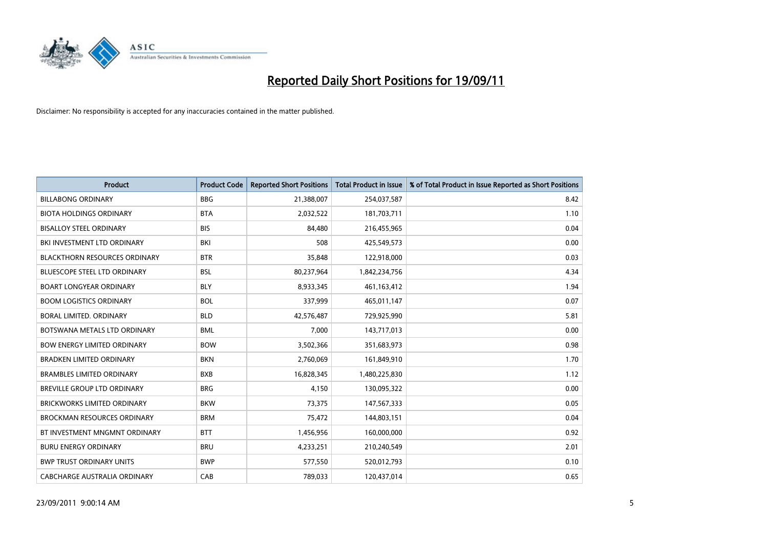

| <b>Product</b>                       | <b>Product Code</b> | <b>Reported Short Positions</b> | <b>Total Product in Issue</b> | % of Total Product in Issue Reported as Short Positions |
|--------------------------------------|---------------------|---------------------------------|-------------------------------|---------------------------------------------------------|
| <b>BILLABONG ORDINARY</b>            | <b>BBG</b>          | 21,388,007                      | 254,037,587                   | 8.42                                                    |
| <b>BIOTA HOLDINGS ORDINARY</b>       | <b>BTA</b>          | 2,032,522                       | 181,703,711                   | 1.10                                                    |
| <b>BISALLOY STEEL ORDINARY</b>       | <b>BIS</b>          | 84.480                          | 216,455,965                   | 0.04                                                    |
| BKI INVESTMENT LTD ORDINARY          | BKI                 | 508                             | 425,549,573                   | 0.00                                                    |
| <b>BLACKTHORN RESOURCES ORDINARY</b> | <b>BTR</b>          | 35,848                          | 122,918,000                   | 0.03                                                    |
| <b>BLUESCOPE STEEL LTD ORDINARY</b>  | <b>BSL</b>          | 80,237,964                      | 1,842,234,756                 | 4.34                                                    |
| <b>BOART LONGYEAR ORDINARY</b>       | <b>BLY</b>          | 8,933,345                       | 461, 163, 412                 | 1.94                                                    |
| <b>BOOM LOGISTICS ORDINARY</b>       | <b>BOL</b>          | 337,999                         | 465,011,147                   | 0.07                                                    |
| BORAL LIMITED, ORDINARY              | <b>BLD</b>          | 42,576,487                      | 729,925,990                   | 5.81                                                    |
| BOTSWANA METALS LTD ORDINARY         | <b>BML</b>          | 7,000                           | 143,717,013                   | 0.00                                                    |
| <b>BOW ENERGY LIMITED ORDINARY</b>   | <b>BOW</b>          | 3,502,366                       | 351,683,973                   | 0.98                                                    |
| <b>BRADKEN LIMITED ORDINARY</b>      | <b>BKN</b>          | 2,760,069                       | 161,849,910                   | 1.70                                                    |
| <b>BRAMBLES LIMITED ORDINARY</b>     | <b>BXB</b>          | 16,828,345                      | 1,480,225,830                 | 1.12                                                    |
| <b>BREVILLE GROUP LTD ORDINARY</b>   | <b>BRG</b>          | 4,150                           | 130,095,322                   | 0.00                                                    |
| <b>BRICKWORKS LIMITED ORDINARY</b>   | <b>BKW</b>          | 73,375                          | 147,567,333                   | 0.05                                                    |
| <b>BROCKMAN RESOURCES ORDINARY</b>   | <b>BRM</b>          | 75,472                          | 144,803,151                   | 0.04                                                    |
| BT INVESTMENT MNGMNT ORDINARY        | <b>BTT</b>          | 1,456,956                       | 160,000,000                   | 0.92                                                    |
| <b>BURU ENERGY ORDINARY</b>          | <b>BRU</b>          | 4,233,251                       | 210,240,549                   | 2.01                                                    |
| <b>BWP TRUST ORDINARY UNITS</b>      | <b>BWP</b>          | 577,550                         | 520,012,793                   | 0.10                                                    |
| CABCHARGE AUSTRALIA ORDINARY         | CAB                 | 789,033                         | 120,437,014                   | 0.65                                                    |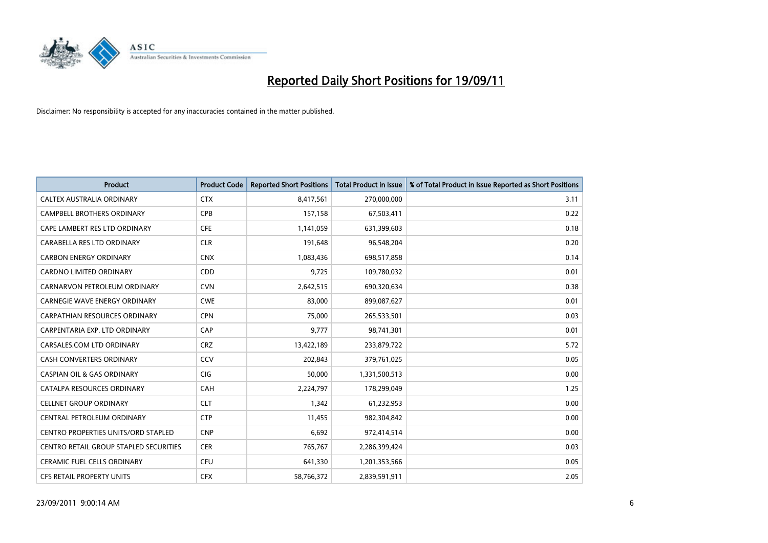

| <b>Product</b>                         | <b>Product Code</b> | <b>Reported Short Positions</b> | <b>Total Product in Issue</b> | % of Total Product in Issue Reported as Short Positions |
|----------------------------------------|---------------------|---------------------------------|-------------------------------|---------------------------------------------------------|
| CALTEX AUSTRALIA ORDINARY              | <b>CTX</b>          | 8,417,561                       | 270,000,000                   | 3.11                                                    |
| CAMPBELL BROTHERS ORDINARY             | <b>CPB</b>          | 157,158                         | 67,503,411                    | 0.22                                                    |
| CAPE LAMBERT RES LTD ORDINARY          | <b>CFE</b>          | 1,141,059                       | 631,399,603                   | 0.18                                                    |
| CARABELLA RES LTD ORDINARY             | <b>CLR</b>          | 191,648                         | 96,548,204                    | 0.20                                                    |
| <b>CARBON ENERGY ORDINARY</b>          | <b>CNX</b>          | 1,083,436                       | 698,517,858                   | 0.14                                                    |
| <b>CARDNO LIMITED ORDINARY</b>         | CDD                 | 9,725                           | 109,780,032                   | 0.01                                                    |
| CARNARVON PETROLEUM ORDINARY           | <b>CVN</b>          | 2,642,515                       | 690,320,634                   | 0.38                                                    |
| CARNEGIE WAVE ENERGY ORDINARY          | <b>CWE</b>          | 83,000                          | 899,087,627                   | 0.01                                                    |
| <b>CARPATHIAN RESOURCES ORDINARY</b>   | <b>CPN</b>          | 75,000                          | 265,533,501                   | 0.03                                                    |
| CARPENTARIA EXP. LTD ORDINARY          | CAP                 | 9,777                           | 98,741,301                    | 0.01                                                    |
| CARSALES.COM LTD ORDINARY              | <b>CRZ</b>          | 13,422,189                      | 233,879,722                   | 5.72                                                    |
| <b>CASH CONVERTERS ORDINARY</b>        | CCV                 | 202,843                         | 379,761,025                   | 0.05                                                    |
| <b>CASPIAN OIL &amp; GAS ORDINARY</b>  | <b>CIG</b>          | 50,000                          | 1,331,500,513                 | 0.00                                                    |
| CATALPA RESOURCES ORDINARY             | CAH                 | 2,224,797                       | 178,299,049                   | 1.25                                                    |
| <b>CELLNET GROUP ORDINARY</b>          | <b>CLT</b>          | 1,342                           | 61,232,953                    | 0.00                                                    |
| CENTRAL PETROLEUM ORDINARY             | <b>CTP</b>          | 11,455                          | 982,304,842                   | 0.00                                                    |
| CENTRO PROPERTIES UNITS/ORD STAPLED    | <b>CNP</b>          | 6,692                           | 972,414,514                   | 0.00                                                    |
| CENTRO RETAIL GROUP STAPLED SECURITIES | <b>CER</b>          | 765,767                         | 2,286,399,424                 | 0.03                                                    |
| <b>CERAMIC FUEL CELLS ORDINARY</b>     | <b>CFU</b>          | 641,330                         | 1,201,353,566                 | 0.05                                                    |
| CFS RETAIL PROPERTY UNITS              | <b>CFX</b>          | 58,766,372                      | 2,839,591,911                 | 2.05                                                    |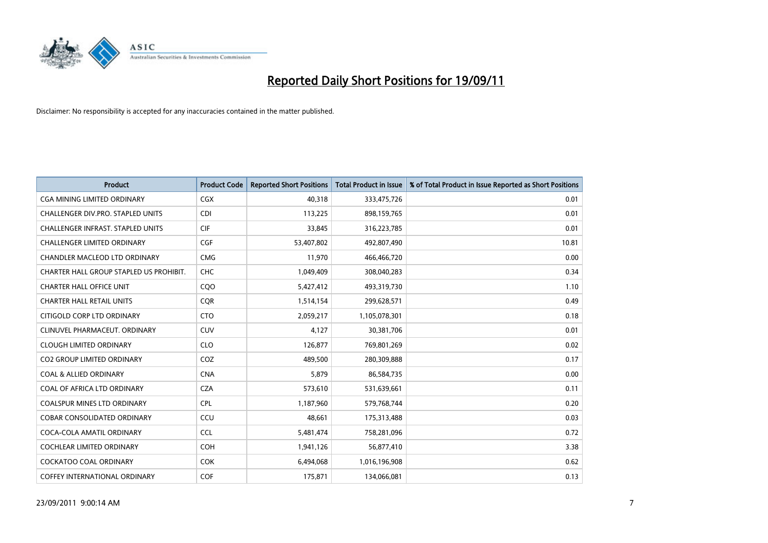

| <b>Product</b>                           | <b>Product Code</b> | <b>Reported Short Positions</b> | <b>Total Product in Issue</b> | % of Total Product in Issue Reported as Short Positions |
|------------------------------------------|---------------------|---------------------------------|-------------------------------|---------------------------------------------------------|
| <b>CGA MINING LIMITED ORDINARY</b>       | <b>CGX</b>          | 40,318                          | 333,475,726                   | 0.01                                                    |
| CHALLENGER DIV.PRO. STAPLED UNITS        | <b>CDI</b>          | 113,225                         | 898,159,765                   | 0.01                                                    |
| <b>CHALLENGER INFRAST, STAPLED UNITS</b> | <b>CIF</b>          | 33,845                          | 316,223,785                   | 0.01                                                    |
| CHALLENGER LIMITED ORDINARY              | <b>CGF</b>          | 53,407,802                      | 492,807,490                   | 10.81                                                   |
| CHANDLER MACLEOD LTD ORDINARY            | <b>CMG</b>          | 11,970                          | 466,466,720                   | 0.00                                                    |
| CHARTER HALL GROUP STAPLED US PROHIBIT.  | <b>CHC</b>          | 1,049,409                       | 308,040,283                   | 0.34                                                    |
| <b>CHARTER HALL OFFICE UNIT</b>          | COO                 | 5,427,412                       | 493,319,730                   | 1.10                                                    |
| <b>CHARTER HALL RETAIL UNITS</b>         | <b>COR</b>          | 1,514,154                       | 299,628,571                   | 0.49                                                    |
| CITIGOLD CORP LTD ORDINARY               | <b>CTO</b>          | 2,059,217                       | 1,105,078,301                 | 0.18                                                    |
| CLINUVEL PHARMACEUT, ORDINARY            | <b>CUV</b>          | 4,127                           | 30,381,706                    | 0.01                                                    |
| <b>CLOUGH LIMITED ORDINARY</b>           | <b>CLO</b>          | 126,877                         | 769,801,269                   | 0.02                                                    |
| <b>CO2 GROUP LIMITED ORDINARY</b>        | COZ                 | 489,500                         | 280,309,888                   | 0.17                                                    |
| <b>COAL &amp; ALLIED ORDINARY</b>        | <b>CNA</b>          | 5,879                           | 86,584,735                    | 0.00                                                    |
| COAL OF AFRICA LTD ORDINARY              | <b>CZA</b>          | 573,610                         | 531,639,661                   | 0.11                                                    |
| <b>COALSPUR MINES LTD ORDINARY</b>       | CPL                 | 1,187,960                       | 579,768,744                   | 0.20                                                    |
| COBAR CONSOLIDATED ORDINARY              | CCU                 | 48,661                          | 175,313,488                   | 0.03                                                    |
| COCA-COLA AMATIL ORDINARY                | <b>CCL</b>          | 5,481,474                       | 758,281,096                   | 0.72                                                    |
| COCHLEAR LIMITED ORDINARY                | <b>COH</b>          | 1,941,126                       | 56,877,410                    | 3.38                                                    |
| <b>COCKATOO COAL ORDINARY</b>            | <b>COK</b>          | 6,494,068                       | 1,016,196,908                 | 0.62                                                    |
| COFFEY INTERNATIONAL ORDINARY            | <b>COF</b>          | 175,871                         | 134,066,081                   | 0.13                                                    |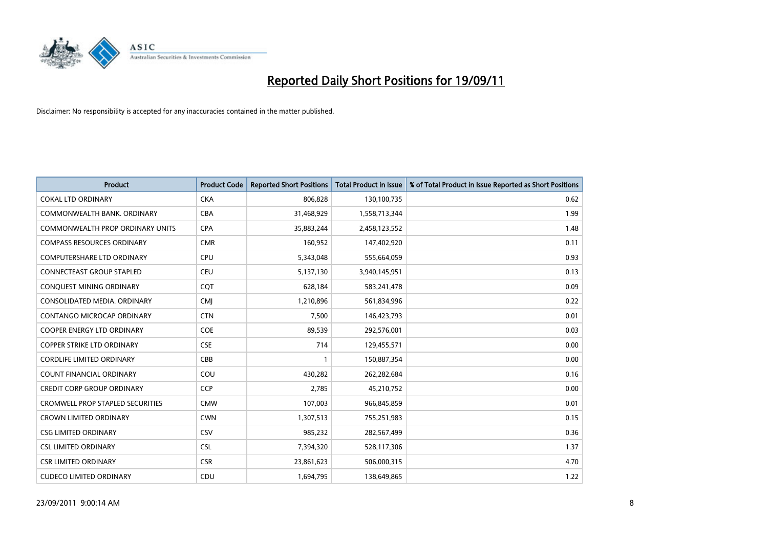

| <b>Product</b>                          | <b>Product Code</b> | <b>Reported Short Positions</b> | <b>Total Product in Issue</b> | % of Total Product in Issue Reported as Short Positions |
|-----------------------------------------|---------------------|---------------------------------|-------------------------------|---------------------------------------------------------|
| <b>COKAL LTD ORDINARY</b>               | <b>CKA</b>          | 806,828                         | 130,100,735                   | 0.62                                                    |
| COMMONWEALTH BANK, ORDINARY             | <b>CBA</b>          | 31,468,929                      | 1,558,713,344                 | 1.99                                                    |
| COMMONWEALTH PROP ORDINARY UNITS        | <b>CPA</b>          | 35,883,244                      | 2,458,123,552                 | 1.48                                                    |
| <b>COMPASS RESOURCES ORDINARY</b>       | <b>CMR</b>          | 160,952                         | 147,402,920                   | 0.11                                                    |
| <b>COMPUTERSHARE LTD ORDINARY</b>       | <b>CPU</b>          | 5,343,048                       | 555,664,059                   | 0.93                                                    |
| <b>CONNECTEAST GROUP STAPLED</b>        | CEU                 | 5,137,130                       | 3,940,145,951                 | 0.13                                                    |
| CONQUEST MINING ORDINARY                | <b>COT</b>          | 628,184                         | 583,241,478                   | 0.09                                                    |
| CONSOLIDATED MEDIA, ORDINARY            | <b>CMI</b>          | 1,210,896                       | 561,834,996                   | 0.22                                                    |
| CONTANGO MICROCAP ORDINARY              | <b>CTN</b>          | 7,500                           | 146,423,793                   | 0.01                                                    |
| <b>COOPER ENERGY LTD ORDINARY</b>       | <b>COE</b>          | 89,539                          | 292,576,001                   | 0.03                                                    |
| <b>COPPER STRIKE LTD ORDINARY</b>       | <b>CSE</b>          | 714                             | 129,455,571                   | 0.00                                                    |
| <b>CORDLIFE LIMITED ORDINARY</b>        | CBB                 |                                 | 150,887,354                   | 0.00                                                    |
| COUNT FINANCIAL ORDINARY                | COU                 | 430,282                         | 262,282,684                   | 0.16                                                    |
| <b>CREDIT CORP GROUP ORDINARY</b>       | <b>CCP</b>          | 2,785                           | 45,210,752                    | 0.00                                                    |
| <b>CROMWELL PROP STAPLED SECURITIES</b> | <b>CMW</b>          | 107,003                         | 966,845,859                   | 0.01                                                    |
| <b>CROWN LIMITED ORDINARY</b>           | <b>CWN</b>          | 1,307,513                       | 755,251,983                   | 0.15                                                    |
| <b>CSG LIMITED ORDINARY</b>             | CSV                 | 985,232                         | 282,567,499                   | 0.36                                                    |
| <b>CSL LIMITED ORDINARY</b>             | <b>CSL</b>          | 7,394,320                       | 528,117,306                   | 1.37                                                    |
| <b>CSR LIMITED ORDINARY</b>             | <b>CSR</b>          | 23,861,623                      | 506,000,315                   | 4.70                                                    |
| <b>CUDECO LIMITED ORDINARY</b>          | CDU                 | 1,694,795                       | 138,649,865                   | 1.22                                                    |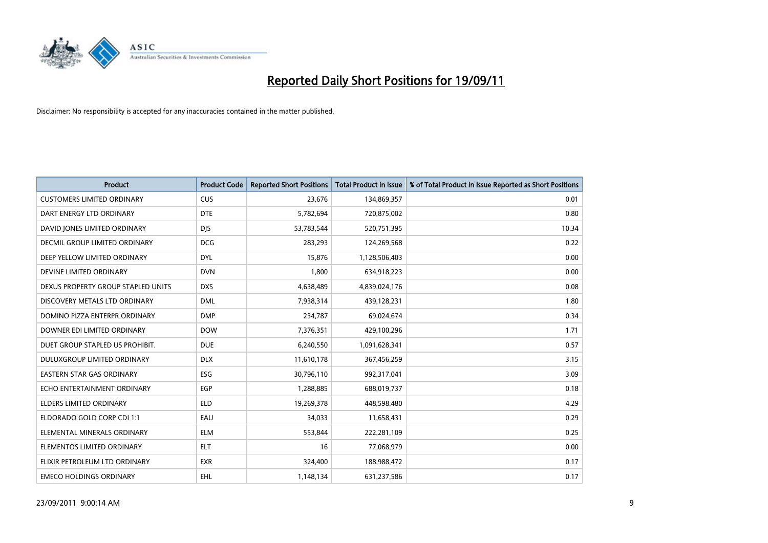

| <b>Product</b>                       | <b>Product Code</b> | <b>Reported Short Positions</b> | <b>Total Product in Issue</b> | % of Total Product in Issue Reported as Short Positions |
|--------------------------------------|---------------------|---------------------------------|-------------------------------|---------------------------------------------------------|
| <b>CUSTOMERS LIMITED ORDINARY</b>    | <b>CUS</b>          | 23.676                          | 134,869,357                   | 0.01                                                    |
| DART ENERGY LTD ORDINARY             | <b>DTE</b>          | 5,782,694                       | 720,875,002                   | 0.80                                                    |
| DAVID JONES LIMITED ORDINARY         | <b>DJS</b>          | 53,783,544                      | 520,751,395                   | 10.34                                                   |
| <b>DECMIL GROUP LIMITED ORDINARY</b> | <b>DCG</b>          | 283,293                         | 124,269,568                   | 0.22                                                    |
| DEEP YELLOW LIMITED ORDINARY         | <b>DYL</b>          | 15,876                          | 1,128,506,403                 | 0.00                                                    |
| DEVINE LIMITED ORDINARY              | <b>DVN</b>          | 1,800                           | 634,918,223                   | 0.00                                                    |
| DEXUS PROPERTY GROUP STAPLED UNITS   | <b>DXS</b>          | 4,638,489                       | 4,839,024,176                 | 0.08                                                    |
| DISCOVERY METALS LTD ORDINARY        | <b>DML</b>          | 7,938,314                       | 439,128,231                   | 1.80                                                    |
| DOMINO PIZZA ENTERPR ORDINARY        | <b>DMP</b>          | 234,787                         | 69,024,674                    | 0.34                                                    |
| DOWNER EDI LIMITED ORDINARY          | <b>DOW</b>          | 7,376,351                       | 429,100,296                   | 1.71                                                    |
| DUET GROUP STAPLED US PROHIBIT.      | <b>DUE</b>          | 6,240,550                       | 1,091,628,341                 | 0.57                                                    |
| DULUXGROUP LIMITED ORDINARY          | <b>DLX</b>          | 11,610,178                      | 367,456,259                   | 3.15                                                    |
| <b>EASTERN STAR GAS ORDINARY</b>     | ESG                 | 30,796,110                      | 992,317,041                   | 3.09                                                    |
| ECHO ENTERTAINMENT ORDINARY          | <b>EGP</b>          | 1,288,885                       | 688,019,737                   | 0.18                                                    |
| <b>ELDERS LIMITED ORDINARY</b>       | <b>ELD</b>          | 19,269,378                      | 448,598,480                   | 4.29                                                    |
| ELDORADO GOLD CORP CDI 1:1           | EAU                 | 34,033                          | 11,658,431                    | 0.29                                                    |
| ELEMENTAL MINERALS ORDINARY          | <b>ELM</b>          | 553,844                         | 222,281,109                   | 0.25                                                    |
| ELEMENTOS LIMITED ORDINARY           | <b>ELT</b>          | 16                              | 77,068,979                    | 0.00                                                    |
| ELIXIR PETROLEUM LTD ORDINARY        | <b>EXR</b>          | 324,400                         | 188,988,472                   | 0.17                                                    |
| <b>EMECO HOLDINGS ORDINARY</b>       | <b>EHL</b>          | 1,148,134                       | 631,237,586                   | 0.17                                                    |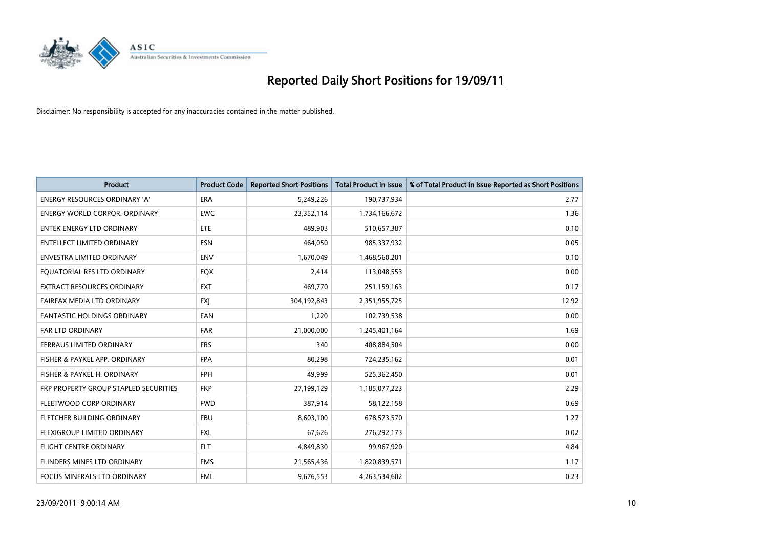

| <b>Product</b>                        | <b>Product Code</b> | <b>Reported Short Positions</b> | <b>Total Product in Issue</b> | % of Total Product in Issue Reported as Short Positions |
|---------------------------------------|---------------------|---------------------------------|-------------------------------|---------------------------------------------------------|
| <b>ENERGY RESOURCES ORDINARY 'A'</b>  | <b>ERA</b>          | 5,249,226                       | 190,737,934                   | 2.77                                                    |
| <b>ENERGY WORLD CORPOR. ORDINARY</b>  | <b>EWC</b>          | 23,352,114                      | 1,734,166,672                 | 1.36                                                    |
| ENTEK ENERGY LTD ORDINARY             | ETE                 | 489,903                         | 510,657,387                   | 0.10                                                    |
| <b>ENTELLECT LIMITED ORDINARY</b>     | <b>ESN</b>          | 464,050                         | 985,337,932                   | 0.05                                                    |
| <b>ENVESTRA LIMITED ORDINARY</b>      | <b>ENV</b>          | 1,670,049                       | 1,468,560,201                 | 0.10                                                    |
| EQUATORIAL RES LTD ORDINARY           | <b>EQX</b>          | 2,414                           | 113,048,553                   | 0.00                                                    |
| <b>EXTRACT RESOURCES ORDINARY</b>     | <b>EXT</b>          | 469,770                         | 251,159,163                   | 0.17                                                    |
| FAIRFAX MEDIA LTD ORDINARY            | <b>FXJ</b>          | 304,192,843                     | 2,351,955,725                 | 12.92                                                   |
| FANTASTIC HOLDINGS ORDINARY           | <b>FAN</b>          | 1,220                           | 102,739,538                   | 0.00                                                    |
| <b>FAR LTD ORDINARY</b>               | FAR                 | 21,000,000                      | 1,245,401,164                 | 1.69                                                    |
| <b>FERRAUS LIMITED ORDINARY</b>       | <b>FRS</b>          | 340                             | 408,884,504                   | 0.00                                                    |
| FISHER & PAYKEL APP. ORDINARY         | <b>FPA</b>          | 80,298                          | 724,235,162                   | 0.01                                                    |
| FISHER & PAYKEL H. ORDINARY           | <b>FPH</b>          | 49,999                          | 525,362,450                   | 0.01                                                    |
| FKP PROPERTY GROUP STAPLED SECURITIES | <b>FKP</b>          | 27,199,129                      | 1,185,077,223                 | 2.29                                                    |
| FLEETWOOD CORP ORDINARY               | <b>FWD</b>          | 387,914                         | 58,122,158                    | 0.69                                                    |
| FLETCHER BUILDING ORDINARY            | <b>FBU</b>          | 8,603,100                       | 678,573,570                   | 1.27                                                    |
| FLEXIGROUP LIMITED ORDINARY           | <b>FXL</b>          | 67,626                          | 276,292,173                   | 0.02                                                    |
| FLIGHT CENTRE ORDINARY                | <b>FLT</b>          | 4,849,830                       | 99,967,920                    | 4.84                                                    |
| FLINDERS MINES LTD ORDINARY           | <b>FMS</b>          | 21,565,436                      | 1,820,839,571                 | 1.17                                                    |
| FOCUS MINERALS LTD ORDINARY           | <b>FML</b>          | 9,676,553                       | 4,263,534,602                 | 0.23                                                    |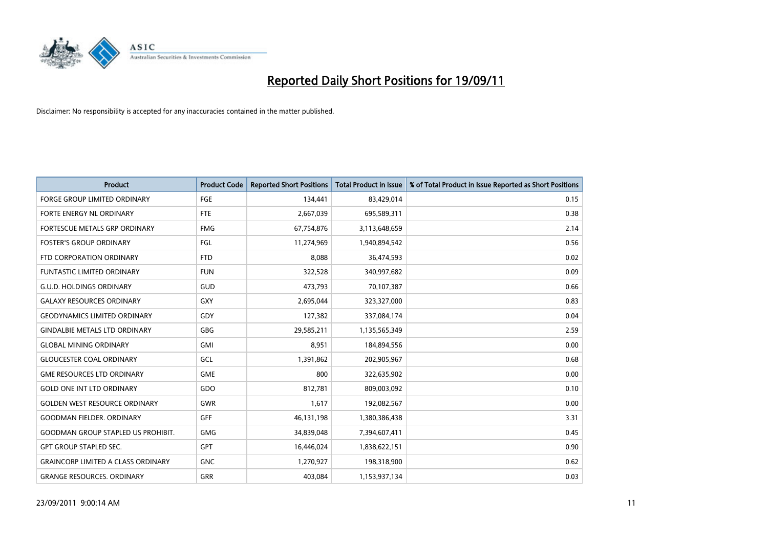

| <b>Product</b>                            | <b>Product Code</b> | <b>Reported Short Positions</b> | <b>Total Product in Issue</b> | % of Total Product in Issue Reported as Short Positions |
|-------------------------------------------|---------------------|---------------------------------|-------------------------------|---------------------------------------------------------|
| <b>FORGE GROUP LIMITED ORDINARY</b>       | FGE                 | 134,441                         | 83,429,014                    | 0.15                                                    |
| FORTE ENERGY NL ORDINARY                  | <b>FTE</b>          | 2,667,039                       | 695,589,311                   | 0.38                                                    |
| FORTESCUE METALS GRP ORDINARY             | <b>FMG</b>          | 67,754,876                      | 3,113,648,659                 | 2.14                                                    |
| <b>FOSTER'S GROUP ORDINARY</b>            | FGL                 | 11,274,969                      | 1,940,894,542                 | 0.56                                                    |
| FTD CORPORATION ORDINARY                  | <b>FTD</b>          | 8.088                           | 36,474,593                    | 0.02                                                    |
| <b>FUNTASTIC LIMITED ORDINARY</b>         | <b>FUN</b>          | 322,528                         | 340,997,682                   | 0.09                                                    |
| <b>G.U.D. HOLDINGS ORDINARY</b>           | GUD                 | 473,793                         | 70,107,387                    | 0.66                                                    |
| <b>GALAXY RESOURCES ORDINARY</b>          | <b>GXY</b>          | 2,695,044                       | 323,327,000                   | 0.83                                                    |
| <b>GEODYNAMICS LIMITED ORDINARY</b>       | GDY                 | 127,382                         | 337,084,174                   | 0.04                                                    |
| <b>GINDALBIE METALS LTD ORDINARY</b>      | GBG                 | 29,585,211                      | 1,135,565,349                 | 2.59                                                    |
| <b>GLOBAL MINING ORDINARY</b>             | <b>GMI</b>          | 8,951                           | 184,894,556                   | 0.00                                                    |
| <b>GLOUCESTER COAL ORDINARY</b>           | GCL                 | 1,391,862                       | 202,905,967                   | 0.68                                                    |
| <b>GME RESOURCES LTD ORDINARY</b>         | <b>GME</b>          | 800                             | 322,635,902                   | 0.00                                                    |
| <b>GOLD ONE INT LTD ORDINARY</b>          | GDO                 | 812,781                         | 809,003,092                   | 0.10                                                    |
| <b>GOLDEN WEST RESOURCE ORDINARY</b>      | GWR                 | 1,617                           | 192,082,567                   | 0.00                                                    |
| <b>GOODMAN FIELDER. ORDINARY</b>          | <b>GFF</b>          | 46,131,198                      | 1,380,386,438                 | 3.31                                                    |
| <b>GOODMAN GROUP STAPLED US PROHIBIT.</b> | <b>GMG</b>          | 34,839,048                      | 7,394,607,411                 | 0.45                                                    |
| <b>GPT GROUP STAPLED SEC.</b>             | <b>GPT</b>          | 16,446,024                      | 1,838,622,151                 | 0.90                                                    |
| <b>GRAINCORP LIMITED A CLASS ORDINARY</b> | <b>GNC</b>          | 1,270,927                       | 198,318,900                   | 0.62                                                    |
| <b>GRANGE RESOURCES, ORDINARY</b>         | <b>GRR</b>          | 403.084                         | 1,153,937,134                 | 0.03                                                    |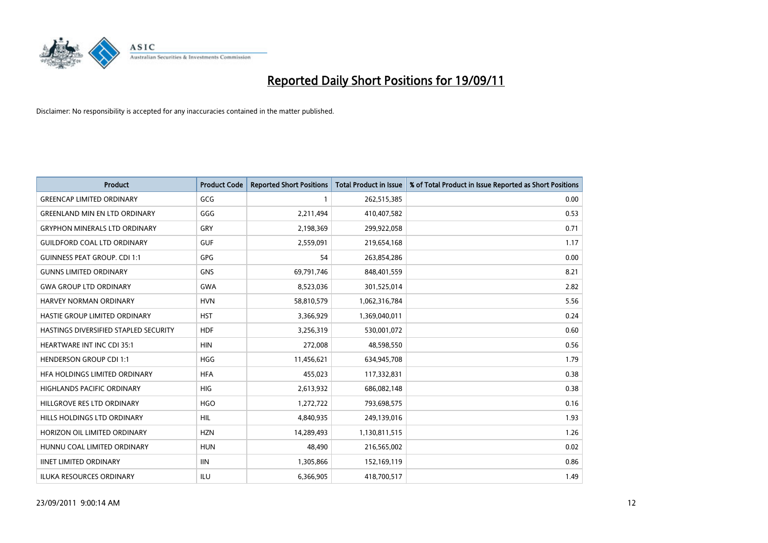

| <b>Product</b>                        | <b>Product Code</b> | <b>Reported Short Positions</b> | <b>Total Product in Issue</b> | % of Total Product in Issue Reported as Short Positions |
|---------------------------------------|---------------------|---------------------------------|-------------------------------|---------------------------------------------------------|
| <b>GREENCAP LIMITED ORDINARY</b>      | GCG                 |                                 | 262,515,385                   | 0.00                                                    |
| <b>GREENLAND MIN EN LTD ORDINARY</b>  | GGG                 | 2,211,494                       | 410,407,582                   | 0.53                                                    |
| <b>GRYPHON MINERALS LTD ORDINARY</b>  | GRY                 | 2,198,369                       | 299,922,058                   | 0.71                                                    |
| <b>GUILDFORD COAL LTD ORDINARY</b>    | <b>GUF</b>          | 2,559,091                       | 219,654,168                   | 1.17                                                    |
| <b>GUINNESS PEAT GROUP. CDI 1:1</b>   | <b>GPG</b>          | 54                              | 263,854,286                   | 0.00                                                    |
| <b>GUNNS LIMITED ORDINARY</b>         | <b>GNS</b>          | 69,791,746                      | 848,401,559                   | 8.21                                                    |
| <b>GWA GROUP LTD ORDINARY</b>         | <b>GWA</b>          | 8,523,036                       | 301,525,014                   | 2.82                                                    |
| HARVEY NORMAN ORDINARY                | <b>HVN</b>          | 58,810,579                      | 1,062,316,784                 | 5.56                                                    |
| HASTIE GROUP LIMITED ORDINARY         | <b>HST</b>          | 3,366,929                       | 1,369,040,011                 | 0.24                                                    |
| HASTINGS DIVERSIFIED STAPLED SECURITY | <b>HDF</b>          | 3,256,319                       | 530,001,072                   | 0.60                                                    |
| HEARTWARE INT INC CDI 35:1            | <b>HIN</b>          | 272,008                         | 48,598,550                    | 0.56                                                    |
| <b>HENDERSON GROUP CDI 1:1</b>        | <b>HGG</b>          | 11,456,621                      | 634,945,708                   | 1.79                                                    |
| HFA HOLDINGS LIMITED ORDINARY         | <b>HFA</b>          | 455,023                         | 117,332,831                   | 0.38                                                    |
| <b>HIGHLANDS PACIFIC ORDINARY</b>     | HIG                 | 2,613,932                       | 686,082,148                   | 0.38                                                    |
| HILLGROVE RES LTD ORDINARY            | <b>HGO</b>          | 1,272,722                       | 793,698,575                   | 0.16                                                    |
| HILLS HOLDINGS LTD ORDINARY           | HIL                 | 4,840,935                       | 249,139,016                   | 1.93                                                    |
| HORIZON OIL LIMITED ORDINARY          | <b>HZN</b>          | 14,289,493                      | 1,130,811,515                 | 1.26                                                    |
| HUNNU COAL LIMITED ORDINARY           | <b>HUN</b>          | 48,490                          | 216,565,002                   | 0.02                                                    |
| <b>IINET LIMITED ORDINARY</b>         | <b>IIN</b>          | 1,305,866                       | 152,169,119                   | 0.86                                                    |
| ILUKA RESOURCES ORDINARY              | ILU                 | 6,366,905                       | 418,700,517                   | 1.49                                                    |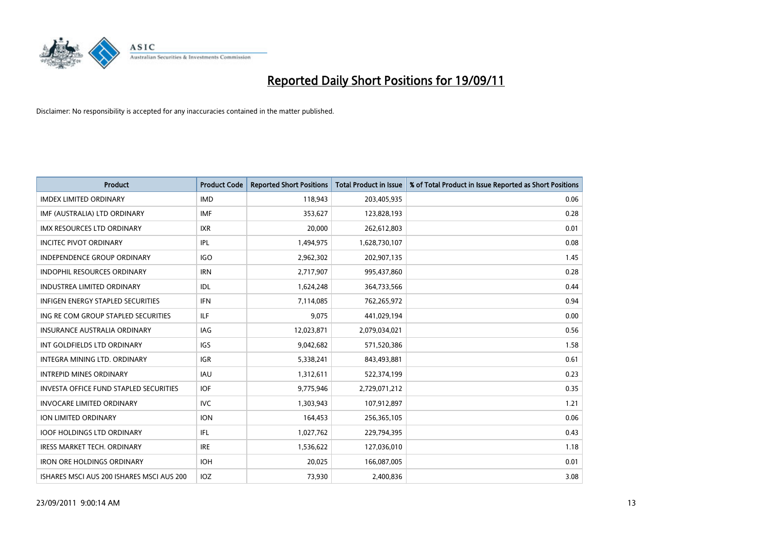

| <b>Product</b>                                | <b>Product Code</b> | <b>Reported Short Positions</b> | <b>Total Product in Issue</b> | % of Total Product in Issue Reported as Short Positions |
|-----------------------------------------------|---------------------|---------------------------------|-------------------------------|---------------------------------------------------------|
| <b>IMDEX LIMITED ORDINARY</b>                 | <b>IMD</b>          | 118,943                         | 203,405,935                   | 0.06                                                    |
| IMF (AUSTRALIA) LTD ORDINARY                  | <b>IMF</b>          | 353,627                         | 123,828,193                   | 0.28                                                    |
| <b>IMX RESOURCES LTD ORDINARY</b>             | <b>IXR</b>          | 20,000                          | 262,612,803                   | 0.01                                                    |
| <b>INCITEC PIVOT ORDINARY</b>                 | IPL                 | 1,494,975                       | 1,628,730,107                 | 0.08                                                    |
| <b>INDEPENDENCE GROUP ORDINARY</b>            | <b>IGO</b>          | 2,962,302                       | 202,907,135                   | 1.45                                                    |
| <b>INDOPHIL RESOURCES ORDINARY</b>            | <b>IRN</b>          | 2,717,907                       | 995,437,860                   | 0.28                                                    |
| <b>INDUSTREA LIMITED ORDINARY</b>             | IDL                 | 1,624,248                       | 364,733,566                   | 0.44                                                    |
| INFIGEN ENERGY STAPLED SECURITIES             | <b>IFN</b>          | 7,114,085                       | 762,265,972                   | 0.94                                                    |
| ING RE COM GROUP STAPLED SECURITIES           | <b>ILF</b>          | 9,075                           | 441,029,194                   | 0.00                                                    |
| <b>INSURANCE AUSTRALIA ORDINARY</b>           | IAG                 | 12,023,871                      | 2,079,034,021                 | 0.56                                                    |
| INT GOLDFIELDS LTD ORDINARY                   | <b>IGS</b>          | 9,042,682                       | 571,520,386                   | 1.58                                                    |
| <b>INTEGRA MINING LTD, ORDINARY</b>           | <b>IGR</b>          | 5,338,241                       | 843,493,881                   | 0.61                                                    |
| <b>INTREPID MINES ORDINARY</b>                | <b>IAU</b>          | 1,312,611                       | 522,374,199                   | 0.23                                                    |
| <b>INVESTA OFFICE FUND STAPLED SECURITIES</b> | <b>IOF</b>          | 9,775,946                       | 2,729,071,212                 | 0.35                                                    |
| <b>INVOCARE LIMITED ORDINARY</b>              | <b>IVC</b>          | 1,303,943                       | 107,912,897                   | 1.21                                                    |
| ION LIMITED ORDINARY                          | <b>ION</b>          | 164,453                         | 256,365,105                   | 0.06                                                    |
| <b>IOOF HOLDINGS LTD ORDINARY</b>             | <b>IFL</b>          | 1,027,762                       | 229,794,395                   | 0.43                                                    |
| IRESS MARKET TECH. ORDINARY                   | <b>IRE</b>          | 1,536,622                       | 127,036,010                   | 1.18                                                    |
| <b>IRON ORE HOLDINGS ORDINARY</b>             | <b>IOH</b>          | 20,025                          | 166,087,005                   | 0.01                                                    |
| ISHARES MSCI AUS 200 ISHARES MSCI AUS 200     | IOZ                 | 73,930                          | 2,400,836                     | 3.08                                                    |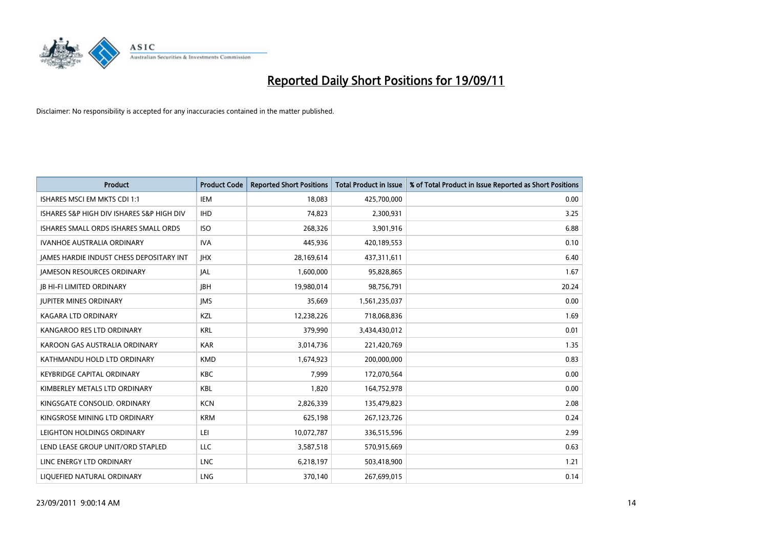

| <b>Product</b>                                  | <b>Product Code</b> | <b>Reported Short Positions</b> | <b>Total Product in Issue</b> | % of Total Product in Issue Reported as Short Positions |
|-------------------------------------------------|---------------------|---------------------------------|-------------------------------|---------------------------------------------------------|
| ISHARES MSCI EM MKTS CDI 1:1                    | IEM                 | 18.083                          | 425,700,000                   | 0.00                                                    |
| ISHARES S&P HIGH DIV ISHARES S&P HIGH DIV       | <b>IHD</b>          | 74,823                          | 2,300,931                     | 3.25                                                    |
| ISHARES SMALL ORDS ISHARES SMALL ORDS           | <b>ISO</b>          | 268,326                         | 3,901,916                     | 6.88                                                    |
| IVANHOE AUSTRALIA ORDINARY                      | <b>IVA</b>          | 445,936                         | 420,189,553                   | 0.10                                                    |
| <b>IAMES HARDIE INDUST CHESS DEPOSITARY INT</b> | <b>IHX</b>          | 28,169,614                      | 437,311,611                   | 6.40                                                    |
| <b>JAMESON RESOURCES ORDINARY</b>               | <b>JAL</b>          | 1,600,000                       | 95,828,865                    | 1.67                                                    |
| <b>JB HI-FI LIMITED ORDINARY</b>                | <b>IBH</b>          | 19,980,014                      | 98,756,791                    | 20.24                                                   |
| <b>JUPITER MINES ORDINARY</b>                   | <b>IMS</b>          | 35,669                          | 1,561,235,037                 | 0.00                                                    |
| <b>KAGARA LTD ORDINARY</b>                      | <b>KZL</b>          | 12,238,226                      | 718,068,836                   | 1.69                                                    |
| KANGAROO RES LTD ORDINARY                       | <b>KRL</b>          | 379,990                         | 3,434,430,012                 | 0.01                                                    |
| KAROON GAS AUSTRALIA ORDINARY                   | <b>KAR</b>          | 3,014,736                       | 221,420,769                   | 1.35                                                    |
| KATHMANDU HOLD LTD ORDINARY                     | <b>KMD</b>          | 1,674,923                       | 200,000,000                   | 0.83                                                    |
| <b>KEYBRIDGE CAPITAL ORDINARY</b>               | <b>KBC</b>          | 7,999                           | 172,070,564                   | 0.00                                                    |
| KIMBERLEY METALS LTD ORDINARY                   | <b>KBL</b>          | 1,820                           | 164,752,978                   | 0.00                                                    |
| KINGSGATE CONSOLID. ORDINARY                    | <b>KCN</b>          | 2,826,339                       | 135,479,823                   | 2.08                                                    |
| KINGSROSE MINING LTD ORDINARY                   | <b>KRM</b>          | 625,198                         | 267,123,726                   | 0.24                                                    |
| LEIGHTON HOLDINGS ORDINARY                      | LEI                 | 10,072,787                      | 336,515,596                   | 2.99                                                    |
| LEND LEASE GROUP UNIT/ORD STAPLED               | LLC                 | 3,587,518                       | 570,915,669                   | 0.63                                                    |
| LINC ENERGY LTD ORDINARY                        | <b>LNC</b>          | 6,218,197                       | 503,418,900                   | 1.21                                                    |
| LIQUEFIED NATURAL ORDINARY                      | <b>LNG</b>          | 370.140                         | 267,699,015                   | 0.14                                                    |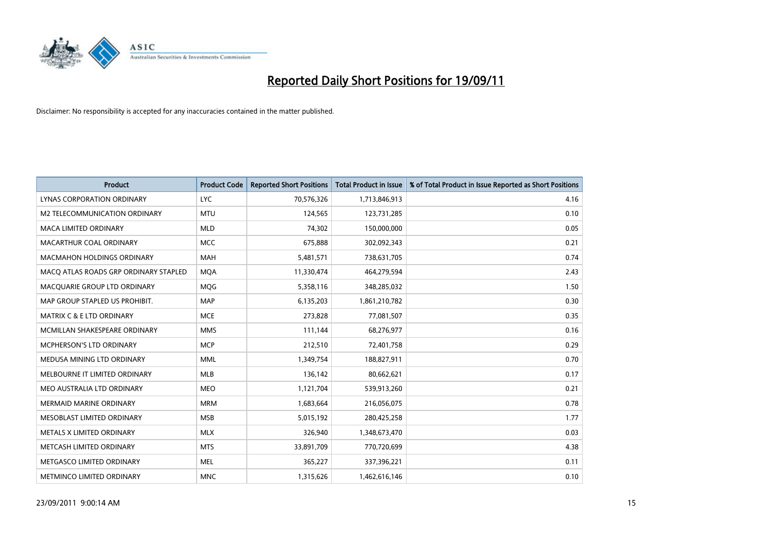

| <b>Product</b>                        | <b>Product Code</b> | <b>Reported Short Positions</b> | <b>Total Product in Issue</b> | % of Total Product in Issue Reported as Short Positions |
|---------------------------------------|---------------------|---------------------------------|-------------------------------|---------------------------------------------------------|
| LYNAS CORPORATION ORDINARY            | <b>LYC</b>          | 70,576,326                      | 1,713,846,913                 | 4.16                                                    |
| M2 TELECOMMUNICATION ORDINARY         | <b>MTU</b>          | 124,565                         | 123,731,285                   | 0.10                                                    |
| <b>MACA LIMITED ORDINARY</b>          | <b>MLD</b>          | 74,302                          | 150,000,000                   | 0.05                                                    |
| MACARTHUR COAL ORDINARY               | <b>MCC</b>          | 675,888                         | 302,092,343                   | 0.21                                                    |
| <b>MACMAHON HOLDINGS ORDINARY</b>     | <b>MAH</b>          | 5,481,571                       | 738,631,705                   | 0.74                                                    |
| MACQ ATLAS ROADS GRP ORDINARY STAPLED | <b>MOA</b>          | 11,330,474                      | 464,279,594                   | 2.43                                                    |
| MACQUARIE GROUP LTD ORDINARY          | <b>MOG</b>          | 5,358,116                       | 348,285,032                   | 1.50                                                    |
| MAP GROUP STAPLED US PROHIBIT.        | <b>MAP</b>          | 6,135,203                       | 1,861,210,782                 | 0.30                                                    |
| <b>MATRIX C &amp; E LTD ORDINARY</b>  | <b>MCE</b>          | 273,828                         | 77,081,507                    | 0.35                                                    |
| MCMILLAN SHAKESPEARE ORDINARY         | <b>MMS</b>          | 111,144                         | 68,276,977                    | 0.16                                                    |
| MCPHERSON'S LTD ORDINARY              | <b>MCP</b>          | 212,510                         | 72,401,758                    | 0.29                                                    |
| MEDUSA MINING LTD ORDINARY            | <b>MML</b>          | 1,349,754                       | 188,827,911                   | 0.70                                                    |
| MELBOURNE IT LIMITED ORDINARY         | <b>MLB</b>          | 136,142                         | 80,662,621                    | 0.17                                                    |
| MEO AUSTRALIA LTD ORDINARY            | <b>MEO</b>          | 1,121,704                       | 539,913,260                   | 0.21                                                    |
| <b>MERMAID MARINE ORDINARY</b>        | <b>MRM</b>          | 1,683,664                       | 216,056,075                   | 0.78                                                    |
| MESOBLAST LIMITED ORDINARY            | <b>MSB</b>          | 5,015,192                       | 280,425,258                   | 1.77                                                    |
| METALS X LIMITED ORDINARY             | <b>MLX</b>          | 326,940                         | 1,348,673,470                 | 0.03                                                    |
| METCASH LIMITED ORDINARY              | <b>MTS</b>          | 33,891,709                      | 770,720,699                   | 4.38                                                    |
| METGASCO LIMITED ORDINARY             | <b>MEL</b>          | 365,227                         | 337,396,221                   | 0.11                                                    |
| METMINCO LIMITED ORDINARY             | <b>MNC</b>          | 1,315,626                       | 1,462,616,146                 | 0.10                                                    |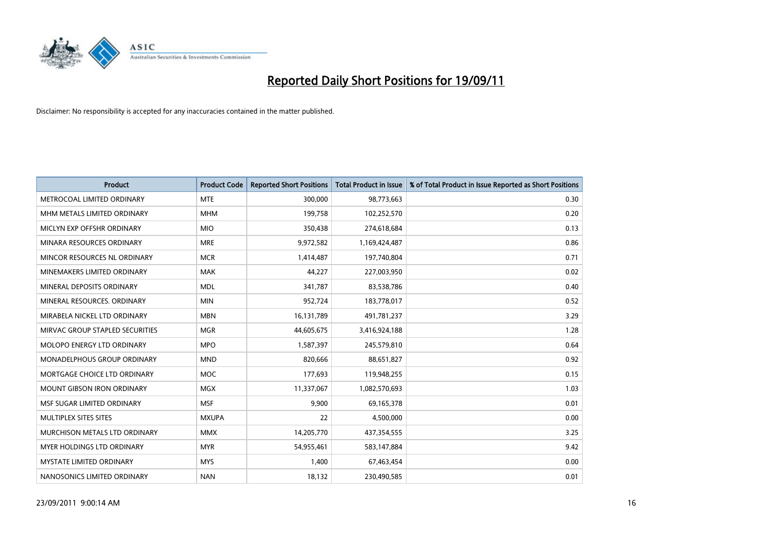

| <b>Product</b>                     | <b>Product Code</b> | <b>Reported Short Positions</b> | <b>Total Product in Issue</b> | % of Total Product in Issue Reported as Short Positions |
|------------------------------------|---------------------|---------------------------------|-------------------------------|---------------------------------------------------------|
| METROCOAL LIMITED ORDINARY         | <b>MTE</b>          | 300,000                         | 98,773,663                    | 0.30                                                    |
| MHM METALS LIMITED ORDINARY        | <b>MHM</b>          | 199,758                         | 102,252,570                   | 0.20                                                    |
| MICLYN EXP OFFSHR ORDINARY         | <b>MIO</b>          | 350,438                         | 274,618,684                   | 0.13                                                    |
| MINARA RESOURCES ORDINARY          | <b>MRE</b>          | 9,972,582                       | 1,169,424,487                 | 0.86                                                    |
| MINCOR RESOURCES NL ORDINARY       | <b>MCR</b>          | 1,414,487                       | 197,740,804                   | 0.71                                                    |
| MINEMAKERS LIMITED ORDINARY        | <b>MAK</b>          | 44.227                          | 227,003,950                   | 0.02                                                    |
| MINERAL DEPOSITS ORDINARY          | <b>MDL</b>          | 341,787                         | 83,538,786                    | 0.40                                                    |
| MINERAL RESOURCES. ORDINARY        | <b>MIN</b>          | 952,724                         | 183,778,017                   | 0.52                                                    |
| MIRABELA NICKEL LTD ORDINARY       | <b>MBN</b>          | 16,131,789                      | 491,781,237                   | 3.29                                                    |
| MIRVAC GROUP STAPLED SECURITIES    | <b>MGR</b>          | 44,605,675                      | 3,416,924,188                 | 1.28                                                    |
| MOLOPO ENERGY LTD ORDINARY         | <b>MPO</b>          | 1,587,397                       | 245,579,810                   | 0.64                                                    |
| <b>MONADELPHOUS GROUP ORDINARY</b> | <b>MND</b>          | 820,666                         | 88,651,827                    | 0.92                                                    |
| MORTGAGE CHOICE LTD ORDINARY       | <b>MOC</b>          | 177,693                         | 119,948,255                   | 0.15                                                    |
| <b>MOUNT GIBSON IRON ORDINARY</b>  | <b>MGX</b>          | 11,337,067                      | 1,082,570,693                 | 1.03                                                    |
| MSF SUGAR LIMITED ORDINARY         | <b>MSF</b>          | 9,900                           | 69,165,378                    | 0.01                                                    |
| MULTIPLEX SITES SITES              | <b>MXUPA</b>        | 22                              | 4,500,000                     | 0.00                                                    |
| MURCHISON METALS LTD ORDINARY      | <b>MMX</b>          | 14,205,770                      | 437,354,555                   | 3.25                                                    |
| MYER HOLDINGS LTD ORDINARY         | <b>MYR</b>          | 54,955,461                      | 583,147,884                   | 9.42                                                    |
| <b>MYSTATE LIMITED ORDINARY</b>    | <b>MYS</b>          | 1,400                           | 67,463,454                    | 0.00                                                    |
| NANOSONICS LIMITED ORDINARY        | <b>NAN</b>          | 18,132                          | 230,490,585                   | 0.01                                                    |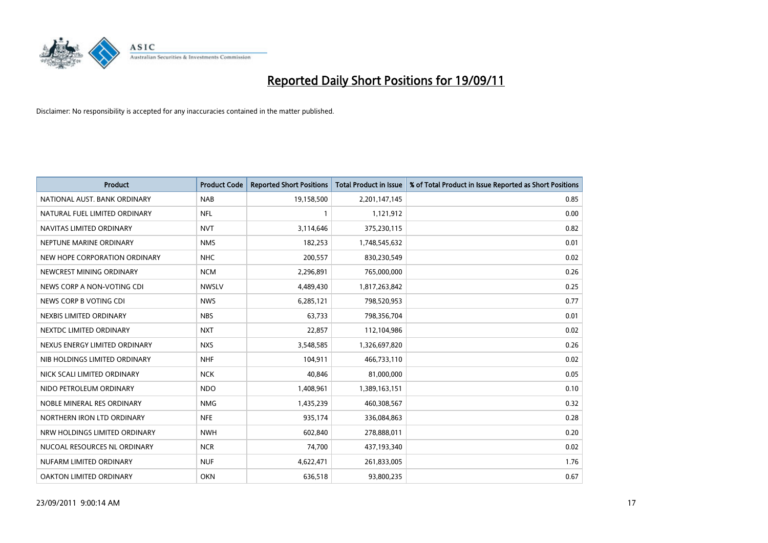

| <b>Product</b>                | <b>Product Code</b> | <b>Reported Short Positions</b> | <b>Total Product in Issue</b> | % of Total Product in Issue Reported as Short Positions |
|-------------------------------|---------------------|---------------------------------|-------------------------------|---------------------------------------------------------|
| NATIONAL AUST, BANK ORDINARY  | <b>NAB</b>          | 19,158,500                      | 2,201,147,145                 | 0.85                                                    |
| NATURAL FUEL LIMITED ORDINARY | <b>NFL</b>          |                                 | 1,121,912                     | 0.00                                                    |
| NAVITAS LIMITED ORDINARY      | <b>NVT</b>          | 3,114,646                       | 375,230,115                   | 0.82                                                    |
| NEPTUNE MARINE ORDINARY       | <b>NMS</b>          | 182,253                         | 1,748,545,632                 | 0.01                                                    |
| NEW HOPE CORPORATION ORDINARY | <b>NHC</b>          | 200,557                         | 830,230,549                   | 0.02                                                    |
| NEWCREST MINING ORDINARY      | <b>NCM</b>          | 2,296,891                       | 765,000,000                   | 0.26                                                    |
| NEWS CORP A NON-VOTING CDI    | <b>NWSLV</b>        | 4,489,430                       | 1,817,263,842                 | 0.25                                                    |
| NEWS CORP B VOTING CDI        | <b>NWS</b>          | 6,285,121                       | 798,520,953                   | 0.77                                                    |
| NEXBIS LIMITED ORDINARY       | <b>NBS</b>          | 63,733                          | 798,356,704                   | 0.01                                                    |
| NEXTDC LIMITED ORDINARY       | <b>NXT</b>          | 22,857                          | 112,104,986                   | 0.02                                                    |
| NEXUS ENERGY LIMITED ORDINARY | <b>NXS</b>          | 3,548,585                       | 1,326,697,820                 | 0.26                                                    |
| NIB HOLDINGS LIMITED ORDINARY | <b>NHF</b>          | 104,911                         | 466,733,110                   | 0.02                                                    |
| NICK SCALI LIMITED ORDINARY   | <b>NCK</b>          | 40,846                          | 81,000,000                    | 0.05                                                    |
| NIDO PETROLEUM ORDINARY       | <b>NDO</b>          | 1,408,961                       | 1,389,163,151                 | 0.10                                                    |
| NOBLE MINERAL RES ORDINARY    | <b>NMG</b>          | 1,435,239                       | 460,308,567                   | 0.32                                                    |
| NORTHERN IRON LTD ORDINARY    | <b>NFE</b>          | 935,174                         | 336,084,863                   | 0.28                                                    |
| NRW HOLDINGS LIMITED ORDINARY | <b>NWH</b>          | 602,840                         | 278,888,011                   | 0.20                                                    |
| NUCOAL RESOURCES NL ORDINARY  | <b>NCR</b>          | 74,700                          | 437,193,340                   | 0.02                                                    |
| NUFARM LIMITED ORDINARY       | <b>NUF</b>          | 4,622,471                       | 261,833,005                   | 1.76                                                    |
| OAKTON LIMITED ORDINARY       | <b>OKN</b>          | 636,518                         | 93,800,235                    | 0.67                                                    |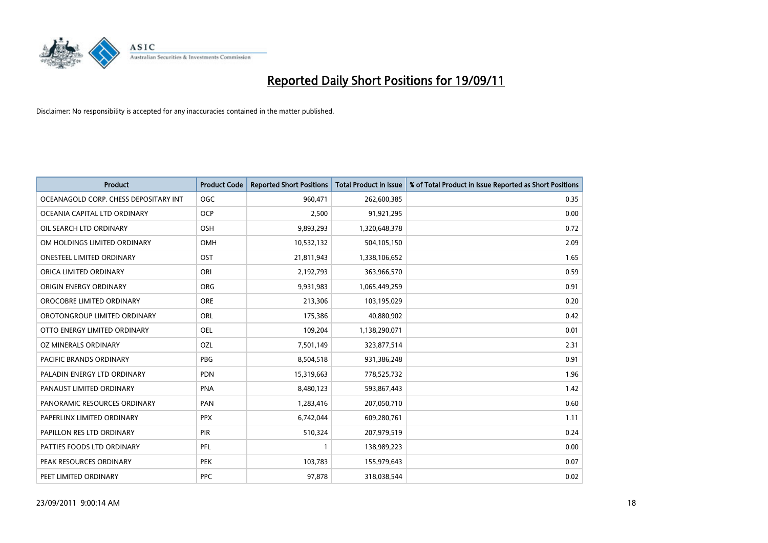

| <b>Product</b>                        | <b>Product Code</b> | <b>Reported Short Positions</b> | <b>Total Product in Issue</b> | % of Total Product in Issue Reported as Short Positions |
|---------------------------------------|---------------------|---------------------------------|-------------------------------|---------------------------------------------------------|
| OCEANAGOLD CORP. CHESS DEPOSITARY INT | <b>OGC</b>          | 960,471                         | 262,600,385                   | 0.35                                                    |
| OCEANIA CAPITAL LTD ORDINARY          | <b>OCP</b>          | 2,500                           | 91,921,295                    | 0.00                                                    |
| OIL SEARCH LTD ORDINARY               | OSH                 | 9,893,293                       | 1,320,648,378                 | 0.72                                                    |
| OM HOLDINGS LIMITED ORDINARY          | <b>OMH</b>          | 10,532,132                      | 504,105,150                   | 2.09                                                    |
| <b>ONESTEEL LIMITED ORDINARY</b>      | OST                 | 21,811,943                      | 1,338,106,652                 | 1.65                                                    |
| ORICA LIMITED ORDINARY                | ORI                 | 2,192,793                       | 363,966,570                   | 0.59                                                    |
| ORIGIN ENERGY ORDINARY                | <b>ORG</b>          | 9,931,983                       | 1,065,449,259                 | 0.91                                                    |
| OROCOBRE LIMITED ORDINARY             | <b>ORE</b>          | 213,306                         | 103,195,029                   | 0.20                                                    |
| OROTONGROUP LIMITED ORDINARY          | <b>ORL</b>          | 175,386                         | 40,880,902                    | 0.42                                                    |
| OTTO ENERGY LIMITED ORDINARY          | <b>OEL</b>          | 109,204                         | 1,138,290,071                 | 0.01                                                    |
| OZ MINERALS ORDINARY                  | OZL                 | 7,501,149                       | 323,877,514                   | 2.31                                                    |
| PACIFIC BRANDS ORDINARY               | <b>PBG</b>          | 8,504,518                       | 931,386,248                   | 0.91                                                    |
| PALADIN ENERGY LTD ORDINARY           | <b>PDN</b>          | 15,319,663                      | 778,525,732                   | 1.96                                                    |
| PANAUST LIMITED ORDINARY              | <b>PNA</b>          | 8,480,123                       | 593,867,443                   | 1.42                                                    |
| PANORAMIC RESOURCES ORDINARY          | PAN                 | 1,283,416                       | 207,050,710                   | 0.60                                                    |
| PAPERLINX LIMITED ORDINARY            | <b>PPX</b>          | 6,742,044                       | 609,280,761                   | 1.11                                                    |
| PAPILLON RES LTD ORDINARY             | PIR                 | 510,324                         | 207,979,519                   | 0.24                                                    |
| PATTIES FOODS LTD ORDINARY            | PFL                 |                                 | 138,989,223                   | 0.00                                                    |
| PEAK RESOURCES ORDINARY               | <b>PEK</b>          | 103,783                         | 155,979,643                   | 0.07                                                    |
| PEET LIMITED ORDINARY                 | <b>PPC</b>          | 97,878                          | 318,038,544                   | 0.02                                                    |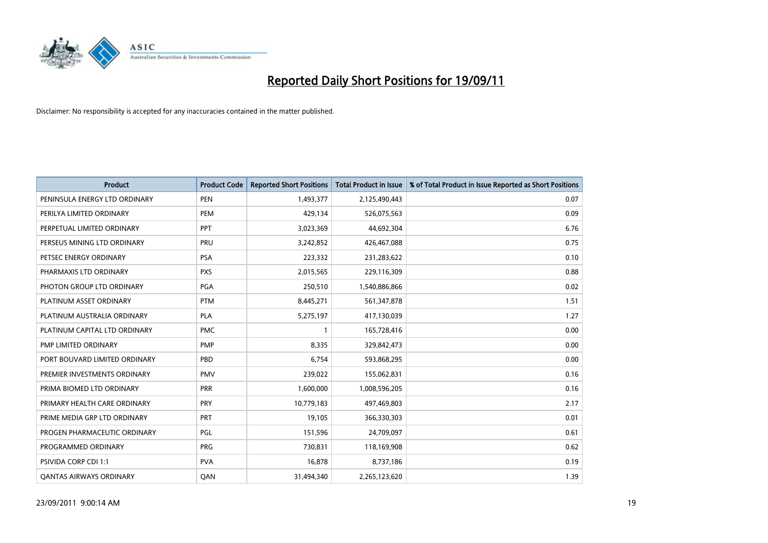

| <b>Product</b>                 | <b>Product Code</b> | <b>Reported Short Positions</b> | <b>Total Product in Issue</b> | % of Total Product in Issue Reported as Short Positions |
|--------------------------------|---------------------|---------------------------------|-------------------------------|---------------------------------------------------------|
| PENINSULA ENERGY LTD ORDINARY  | <b>PEN</b>          | 1,493,377                       | 2,125,490,443                 | 0.07                                                    |
| PERILYA LIMITED ORDINARY       | <b>PEM</b>          | 429,134                         | 526,075,563                   | 0.09                                                    |
| PERPETUAL LIMITED ORDINARY     | <b>PPT</b>          | 3,023,369                       | 44,692,304                    | 6.76                                                    |
| PERSEUS MINING LTD ORDINARY    | PRU                 | 3,242,852                       | 426,467,088                   | 0.75                                                    |
| PETSEC ENERGY ORDINARY         | <b>PSA</b>          | 223,332                         | 231,283,622                   | 0.10                                                    |
| PHARMAXIS LTD ORDINARY         | <b>PXS</b>          | 2,015,565                       | 229,116,309                   | 0.88                                                    |
| PHOTON GROUP LTD ORDINARY      | PGA                 | 250,510                         | 1,540,886,866                 | 0.02                                                    |
| PLATINUM ASSET ORDINARY        | <b>PTM</b>          | 8,445,271                       | 561,347,878                   | 1.51                                                    |
| PLATINUM AUSTRALIA ORDINARY    | <b>PLA</b>          | 5,275,197                       | 417,130,039                   | 1.27                                                    |
| PLATINUM CAPITAL LTD ORDINARY  | <b>PMC</b>          |                                 | 165,728,416                   | 0.00                                                    |
| PMP LIMITED ORDINARY           | <b>PMP</b>          | 8,335                           | 329,842,473                   | 0.00                                                    |
| PORT BOUVARD LIMITED ORDINARY  | PBD                 | 6,754                           | 593,868,295                   | 0.00                                                    |
| PREMIER INVESTMENTS ORDINARY   | <b>PMV</b>          | 239,022                         | 155,062,831                   | 0.16                                                    |
| PRIMA BIOMED LTD ORDINARY      | PRR                 | 1,600,000                       | 1,008,596,205                 | 0.16                                                    |
| PRIMARY HEALTH CARE ORDINARY   | <b>PRY</b>          | 10,779,183                      | 497,469,803                   | 2.17                                                    |
| PRIME MEDIA GRP LTD ORDINARY   | <b>PRT</b>          | 19,105                          | 366,330,303                   | 0.01                                                    |
| PROGEN PHARMACEUTIC ORDINARY   | PGL                 | 151,596                         | 24,709,097                    | 0.61                                                    |
| PROGRAMMED ORDINARY            | <b>PRG</b>          | 730,831                         | 118,169,908                   | 0.62                                                    |
| PSIVIDA CORP CDI 1:1           | <b>PVA</b>          | 16,878                          | 8,737,186                     | 0.19                                                    |
| <b>QANTAS AIRWAYS ORDINARY</b> | QAN                 | 31,494,340                      | 2,265,123,620                 | 1.39                                                    |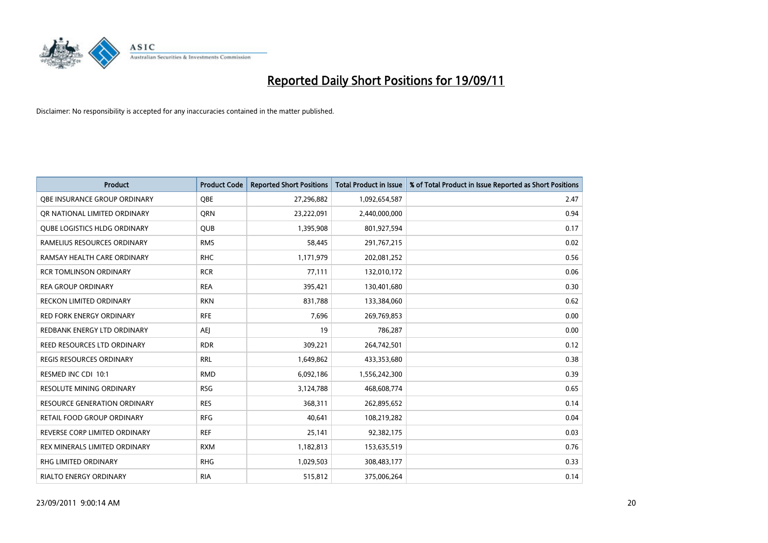

| <b>Product</b>                      | <b>Product Code</b> | <b>Reported Short Positions</b> | <b>Total Product in Issue</b> | % of Total Product in Issue Reported as Short Positions |
|-------------------------------------|---------------------|---------------------------------|-------------------------------|---------------------------------------------------------|
| OBE INSURANCE GROUP ORDINARY        | <b>OBE</b>          | 27,296,882                      | 1,092,654,587                 | 2.47                                                    |
| OR NATIONAL LIMITED ORDINARY        | <b>ORN</b>          | 23,222,091                      | 2,440,000,000                 | 0.94                                                    |
| <b>QUBE LOGISTICS HLDG ORDINARY</b> | QUB                 | 1,395,908                       | 801,927,594                   | 0.17                                                    |
| RAMELIUS RESOURCES ORDINARY         | <b>RMS</b>          | 58,445                          | 291,767,215                   | 0.02                                                    |
| RAMSAY HEALTH CARE ORDINARY         | <b>RHC</b>          | 1,171,979                       | 202,081,252                   | 0.56                                                    |
| <b>RCR TOMLINSON ORDINARY</b>       | <b>RCR</b>          | 77,111                          | 132,010,172                   | 0.06                                                    |
| <b>REA GROUP ORDINARY</b>           | <b>REA</b>          | 395,421                         | 130,401,680                   | 0.30                                                    |
| RECKON LIMITED ORDINARY             | <b>RKN</b>          | 831,788                         | 133,384,060                   | 0.62                                                    |
| <b>RED FORK ENERGY ORDINARY</b>     | <b>RFE</b>          | 7,696                           | 269,769,853                   | 0.00                                                    |
| REDBANK ENERGY LTD ORDINARY         | AEJ                 | 19                              | 786,287                       | 0.00                                                    |
| REED RESOURCES LTD ORDINARY         | <b>RDR</b>          | 309,221                         | 264,742,501                   | 0.12                                                    |
| <b>REGIS RESOURCES ORDINARY</b>     | <b>RRL</b>          | 1,649,862                       | 433,353,680                   | 0.38                                                    |
| RESMED INC CDI 10:1                 | <b>RMD</b>          | 6,092,186                       | 1,556,242,300                 | 0.39                                                    |
| RESOLUTE MINING ORDINARY            | <b>RSG</b>          | 3,124,788                       | 468,608,774                   | 0.65                                                    |
| <b>RESOURCE GENERATION ORDINARY</b> | <b>RES</b>          | 368,311                         | 262,895,652                   | 0.14                                                    |
| RETAIL FOOD GROUP ORDINARY          | <b>RFG</b>          | 40,641                          | 108,219,282                   | 0.04                                                    |
| REVERSE CORP LIMITED ORDINARY       | <b>REF</b>          | 25,141                          | 92,382,175                    | 0.03                                                    |
| REX MINERALS LIMITED ORDINARY       | <b>RXM</b>          | 1,182,813                       | 153,635,519                   | 0.76                                                    |
| RHG LIMITED ORDINARY                | <b>RHG</b>          | 1,029,503                       | 308,483,177                   | 0.33                                                    |
| RIALTO ENERGY ORDINARY              | <b>RIA</b>          | 515,812                         | 375,006,264                   | 0.14                                                    |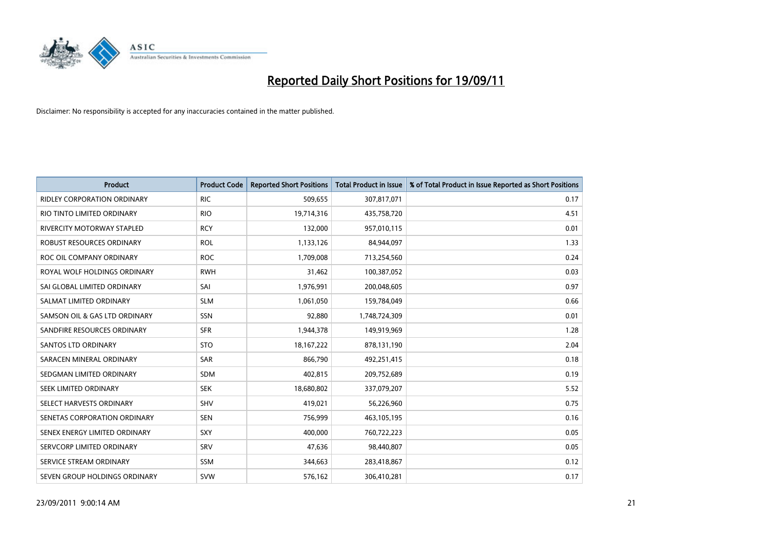

| <b>Product</b>                     | <b>Product Code</b> | <b>Reported Short Positions</b> | <b>Total Product in Issue</b> | % of Total Product in Issue Reported as Short Positions |
|------------------------------------|---------------------|---------------------------------|-------------------------------|---------------------------------------------------------|
| <b>RIDLEY CORPORATION ORDINARY</b> | <b>RIC</b>          | 509,655                         | 307,817,071                   | 0.17                                                    |
| RIO TINTO LIMITED ORDINARY         | <b>RIO</b>          | 19,714,316                      | 435,758,720                   | 4.51                                                    |
| <b>RIVERCITY MOTORWAY STAPLED</b>  | <b>RCY</b>          | 132,000                         | 957,010,115                   | 0.01                                                    |
| ROBUST RESOURCES ORDINARY          | <b>ROL</b>          | 1,133,126                       | 84,944,097                    | 1.33                                                    |
| ROC OIL COMPANY ORDINARY           | <b>ROC</b>          | 1,709,008                       | 713,254,560                   | 0.24                                                    |
| ROYAL WOLF HOLDINGS ORDINARY       | <b>RWH</b>          | 31,462                          | 100,387,052                   | 0.03                                                    |
| SAI GLOBAL LIMITED ORDINARY        | SAI                 | 1,976,991                       | 200,048,605                   | 0.97                                                    |
| SALMAT LIMITED ORDINARY            | <b>SLM</b>          | 1,061,050                       | 159,784,049                   | 0.66                                                    |
| SAMSON OIL & GAS LTD ORDINARY      | SSN                 | 92,880                          | 1,748,724,309                 | 0.01                                                    |
| SANDFIRE RESOURCES ORDINARY        | <b>SFR</b>          | 1,944,378                       | 149,919,969                   | 1.28                                                    |
| <b>SANTOS LTD ORDINARY</b>         | <b>STO</b>          | 18, 167, 222                    | 878,131,190                   | 2.04                                                    |
| SARACEN MINERAL ORDINARY           | SAR                 | 866,790                         | 492,251,415                   | 0.18                                                    |
| SEDGMAN LIMITED ORDINARY           | <b>SDM</b>          | 402,815                         | 209,752,689                   | 0.19                                                    |
| <b>SEEK LIMITED ORDINARY</b>       | <b>SEK</b>          | 18,680,802                      | 337,079,207                   | 5.52                                                    |
| SELECT HARVESTS ORDINARY           | SHV                 | 419,021                         | 56,226,960                    | 0.75                                                    |
| SENETAS CORPORATION ORDINARY       | <b>SEN</b>          | 756,999                         | 463,105,195                   | 0.16                                                    |
| SENEX ENERGY LIMITED ORDINARY      | SXY                 | 400,000                         | 760,722,223                   | 0.05                                                    |
| SERVCORP LIMITED ORDINARY          | SRV                 | 47,636                          | 98,440,807                    | 0.05                                                    |
| SERVICE STREAM ORDINARY            | <b>SSM</b>          | 344,663                         | 283,418,867                   | 0.12                                                    |
| SEVEN GROUP HOLDINGS ORDINARY      | <b>SVW</b>          | 576,162                         | 306,410,281                   | 0.17                                                    |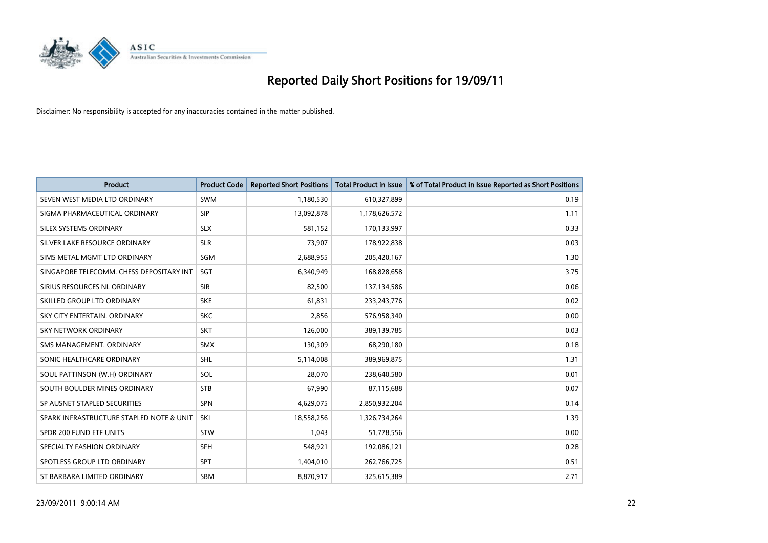

| <b>Product</b>                           | <b>Product Code</b> | <b>Reported Short Positions</b> | <b>Total Product in Issue</b> | % of Total Product in Issue Reported as Short Positions |
|------------------------------------------|---------------------|---------------------------------|-------------------------------|---------------------------------------------------------|
| SEVEN WEST MEDIA LTD ORDINARY            | <b>SWM</b>          | 1,180,530                       | 610,327,899                   | 0.19                                                    |
| SIGMA PHARMACEUTICAL ORDINARY            | <b>SIP</b>          | 13,092,878                      | 1,178,626,572                 | 1.11                                                    |
| SILEX SYSTEMS ORDINARY                   | <b>SLX</b>          | 581,152                         | 170,133,997                   | 0.33                                                    |
| SILVER LAKE RESOURCE ORDINARY            | <b>SLR</b>          | 73,907                          | 178,922,838                   | 0.03                                                    |
| SIMS METAL MGMT LTD ORDINARY             | SGM                 | 2,688,955                       | 205,420,167                   | 1.30                                                    |
| SINGAPORE TELECOMM. CHESS DEPOSITARY INT | <b>SGT</b>          | 6,340,949                       | 168,828,658                   | 3.75                                                    |
| SIRIUS RESOURCES NL ORDINARY             | <b>SIR</b>          | 82,500                          | 137,134,586                   | 0.06                                                    |
| SKILLED GROUP LTD ORDINARY               | <b>SKE</b>          | 61,831                          | 233, 243, 776                 | 0.02                                                    |
| SKY CITY ENTERTAIN, ORDINARY             | <b>SKC</b>          | 2,856                           | 576,958,340                   | 0.00                                                    |
| <b>SKY NETWORK ORDINARY</b>              | <b>SKT</b>          | 126,000                         | 389,139,785                   | 0.03                                                    |
| SMS MANAGEMENT. ORDINARY                 | <b>SMX</b>          | 130,309                         | 68,290,180                    | 0.18                                                    |
| SONIC HEALTHCARE ORDINARY                | <b>SHL</b>          | 5,114,008                       | 389,969,875                   | 1.31                                                    |
| SOUL PATTINSON (W.H) ORDINARY            | SOL                 | 28,070                          | 238,640,580                   | 0.01                                                    |
| SOUTH BOULDER MINES ORDINARY             | <b>STB</b>          | 67,990                          | 87,115,688                    | 0.07                                                    |
| SP AUSNET STAPLED SECURITIES             | <b>SPN</b>          | 4,629,075                       | 2,850,932,204                 | 0.14                                                    |
| SPARK INFRASTRUCTURE STAPLED NOTE & UNIT | SKI                 | 18,558,256                      | 1,326,734,264                 | 1.39                                                    |
| SPDR 200 FUND ETF UNITS                  | <b>STW</b>          | 1,043                           | 51,778,556                    | 0.00                                                    |
| SPECIALTY FASHION ORDINARY               | <b>SFH</b>          | 548,921                         | 192,086,121                   | 0.28                                                    |
| SPOTLESS GROUP LTD ORDINARY              | <b>SPT</b>          | 1,404,010                       | 262,766,725                   | 0.51                                                    |
| ST BARBARA LIMITED ORDINARY              | <b>SBM</b>          | 8,870,917                       | 325,615,389                   | 2.71                                                    |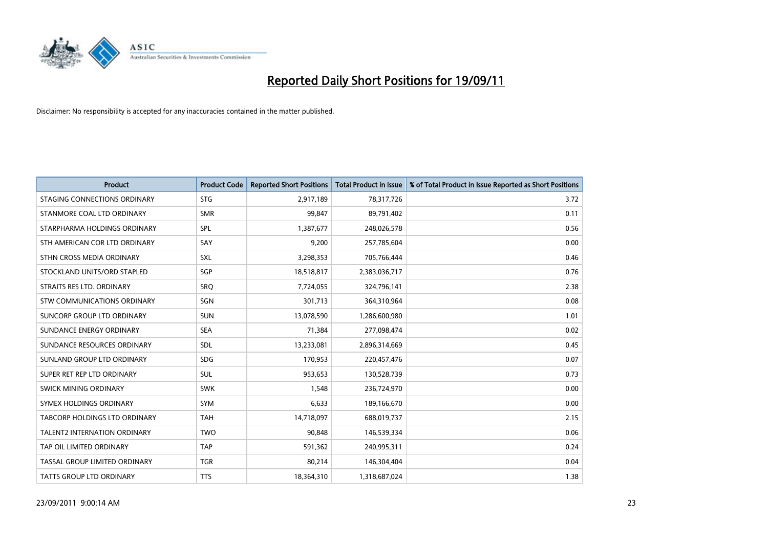

| <b>Product</b>                | <b>Product Code</b> | <b>Reported Short Positions</b> | <b>Total Product in Issue</b> | % of Total Product in Issue Reported as Short Positions |
|-------------------------------|---------------------|---------------------------------|-------------------------------|---------------------------------------------------------|
| STAGING CONNECTIONS ORDINARY  | <b>STG</b>          | 2,917,189                       | 78,317,726                    | 3.72                                                    |
| STANMORE COAL LTD ORDINARY    | <b>SMR</b>          | 99,847                          | 89,791,402                    | 0.11                                                    |
| STARPHARMA HOLDINGS ORDINARY  | SPL                 | 1,387,677                       | 248,026,578                   | 0.56                                                    |
| STH AMERICAN COR LTD ORDINARY | SAY                 | 9,200                           | 257,785,604                   | 0.00                                                    |
| STHN CROSS MEDIA ORDINARY     | <b>SXL</b>          | 3,298,353                       | 705,766,444                   | 0.46                                                    |
| STOCKLAND UNITS/ORD STAPLED   | SGP                 | 18,518,817                      | 2,383,036,717                 | 0.76                                                    |
| STRAITS RES LTD. ORDINARY     | <b>SRO</b>          | 7,724,055                       | 324,796,141                   | 2.38                                                    |
| STW COMMUNICATIONS ORDINARY   | SGN                 | 301,713                         | 364,310,964                   | 0.08                                                    |
| SUNCORP GROUP LTD ORDINARY    | <b>SUN</b>          | 13,078,590                      | 1,286,600,980                 | 1.01                                                    |
| SUNDANCE ENERGY ORDINARY      | <b>SEA</b>          | 71,384                          | 277,098,474                   | 0.02                                                    |
| SUNDANCE RESOURCES ORDINARY   | <b>SDL</b>          | 13,233,081                      | 2,896,314,669                 | 0.45                                                    |
| SUNLAND GROUP LTD ORDINARY    | <b>SDG</b>          | 170,953                         | 220,457,476                   | 0.07                                                    |
| SUPER RET REP LTD ORDINARY    | <b>SUL</b>          | 953,653                         | 130,528,739                   | 0.73                                                    |
| <b>SWICK MINING ORDINARY</b>  | <b>SWK</b>          | 1,548                           | 236,724,970                   | 0.00                                                    |
| SYMEX HOLDINGS ORDINARY       | <b>SYM</b>          | 6,633                           | 189,166,670                   | 0.00                                                    |
| TABCORP HOLDINGS LTD ORDINARY | <b>TAH</b>          | 14,718,097                      | 688,019,737                   | 2.15                                                    |
| TALENT2 INTERNATION ORDINARY  | <b>TWO</b>          | 90,848                          | 146,539,334                   | 0.06                                                    |
| TAP OIL LIMITED ORDINARY      | <b>TAP</b>          | 591,362                         | 240,995,311                   | 0.24                                                    |
| TASSAL GROUP LIMITED ORDINARY | <b>TGR</b>          | 80,214                          | 146,304,404                   | 0.04                                                    |
| TATTS GROUP LTD ORDINARY      | <b>TTS</b>          | 18,364,310                      | 1,318,687,024                 | 1.38                                                    |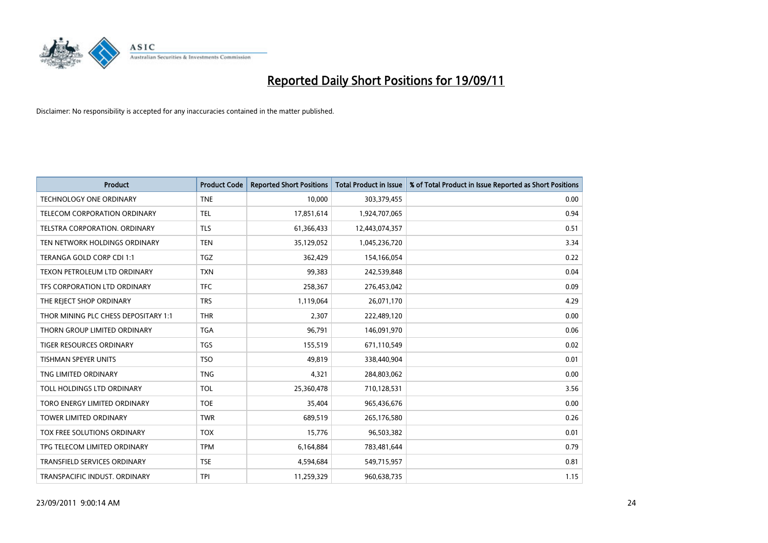

| <b>Product</b>                       | <b>Product Code</b> | <b>Reported Short Positions</b> | <b>Total Product in Issue</b> | % of Total Product in Issue Reported as Short Positions |
|--------------------------------------|---------------------|---------------------------------|-------------------------------|---------------------------------------------------------|
| <b>TECHNOLOGY ONE ORDINARY</b>       | <b>TNE</b>          | 10,000                          | 303,379,455                   | 0.00                                                    |
| TELECOM CORPORATION ORDINARY         | <b>TEL</b>          | 17,851,614                      | 1,924,707,065                 | 0.94                                                    |
| <b>TELSTRA CORPORATION, ORDINARY</b> | <b>TLS</b>          | 61,366,433                      | 12,443,074,357                | 0.51                                                    |
| TEN NETWORK HOLDINGS ORDINARY        | <b>TEN</b>          | 35,129,052                      | 1,045,236,720                 | 3.34                                                    |
| TERANGA GOLD CORP CDI 1:1            | <b>TGZ</b>          | 362,429                         | 154,166,054                   | 0.22                                                    |
| TEXON PETROLEUM LTD ORDINARY         | <b>TXN</b>          | 99,383                          | 242,539,848                   | 0.04                                                    |
| TFS CORPORATION LTD ORDINARY         | <b>TFC</b>          | 258,367                         | 276,453,042                   | 0.09                                                    |
| THE REJECT SHOP ORDINARY             | <b>TRS</b>          | 1,119,064                       | 26,071,170                    | 4.29                                                    |
| THOR MINING PLC CHESS DEPOSITARY 1:1 | <b>THR</b>          | 2,307                           | 222,489,120                   | 0.00                                                    |
| THORN GROUP LIMITED ORDINARY         | <b>TGA</b>          | 96,791                          | 146,091,970                   | 0.06                                                    |
| TIGER RESOURCES ORDINARY             | <b>TGS</b>          | 155,519                         | 671,110,549                   | 0.02                                                    |
| <b>TISHMAN SPEYER UNITS</b>          | <b>TSO</b>          | 49,819                          | 338,440,904                   | 0.01                                                    |
| TNG LIMITED ORDINARY                 | <b>TNG</b>          | 4,321                           | 284,803,062                   | 0.00                                                    |
| TOLL HOLDINGS LTD ORDINARY           | TOL                 | 25,360,478                      | 710,128,531                   | 3.56                                                    |
| TORO ENERGY LIMITED ORDINARY         | <b>TOE</b>          | 35,404                          | 965,436,676                   | 0.00                                                    |
| TOWER LIMITED ORDINARY               | <b>TWR</b>          | 689,519                         | 265,176,580                   | 0.26                                                    |
| TOX FREE SOLUTIONS ORDINARY          | <b>TOX</b>          | 15,776                          | 96,503,382                    | 0.01                                                    |
| TPG TELECOM LIMITED ORDINARY         | <b>TPM</b>          | 6,164,884                       | 783,481,644                   | 0.79                                                    |
| <b>TRANSFIELD SERVICES ORDINARY</b>  | <b>TSE</b>          | 4,594,684                       | 549,715,957                   | 0.81                                                    |
| TRANSPACIFIC INDUST. ORDINARY        | <b>TPI</b>          | 11,259,329                      | 960,638,735                   | 1.15                                                    |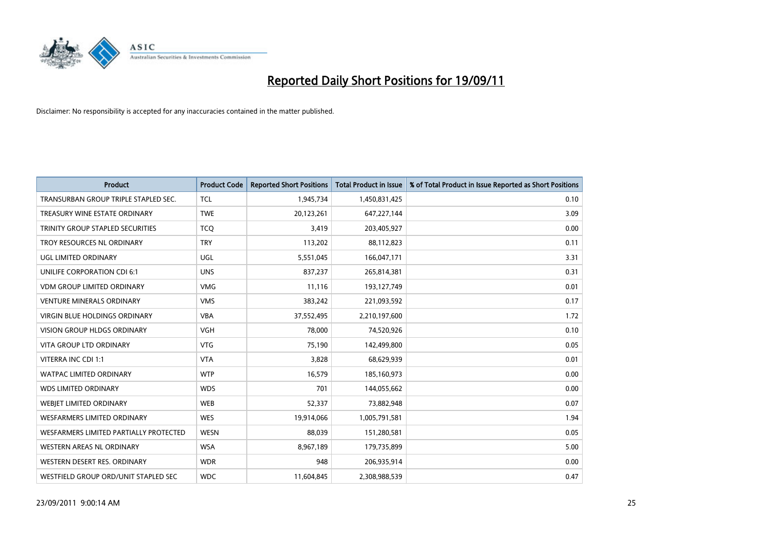

| <b>Product</b>                          | <b>Product Code</b> | <b>Reported Short Positions</b> | <b>Total Product in Issue</b> | % of Total Product in Issue Reported as Short Positions |
|-----------------------------------------|---------------------|---------------------------------|-------------------------------|---------------------------------------------------------|
| TRANSURBAN GROUP TRIPLE STAPLED SEC.    | <b>TCL</b>          | 1,945,734                       | 1,450,831,425                 | 0.10                                                    |
| TREASURY WINE ESTATE ORDINARY           | <b>TWE</b>          | 20,123,261                      | 647,227,144                   | 3.09                                                    |
| <b>TRINITY GROUP STAPLED SECURITIES</b> | <b>TCO</b>          | 3,419                           | 203,405,927                   | 0.00                                                    |
| TROY RESOURCES NL ORDINARY              | <b>TRY</b>          | 113,202                         | 88,112,823                    | 0.11                                                    |
| UGL LIMITED ORDINARY                    | UGL                 | 5,551,045                       | 166,047,171                   | 3.31                                                    |
| UNILIFE CORPORATION CDI 6:1             | <b>UNS</b>          | 837,237                         | 265,814,381                   | 0.31                                                    |
| <b>VDM GROUP LIMITED ORDINARY</b>       | <b>VMG</b>          | 11,116                          | 193,127,749                   | 0.01                                                    |
| <b>VENTURE MINERALS ORDINARY</b>        | <b>VMS</b>          | 383,242                         | 221,093,592                   | 0.17                                                    |
| <b>VIRGIN BLUE HOLDINGS ORDINARY</b>    | <b>VBA</b>          | 37,552,495                      | 2,210,197,600                 | 1.72                                                    |
| <b>VISION GROUP HLDGS ORDINARY</b>      | <b>VGH</b>          | 78,000                          | 74,520,926                    | 0.10                                                    |
| VITA GROUP LTD ORDINARY                 | <b>VTG</b>          | 75,190                          | 142,499,800                   | 0.05                                                    |
| VITERRA INC CDI 1:1                     | <b>VTA</b>          | 3,828                           | 68,629,939                    | 0.01                                                    |
| <b>WATPAC LIMITED ORDINARY</b>          | <b>WTP</b>          | 16,579                          | 185,160,973                   | 0.00                                                    |
| <b>WDS LIMITED ORDINARY</b>             | <b>WDS</b>          | 701                             | 144,055,662                   | 0.00                                                    |
| WEBJET LIMITED ORDINARY                 | <b>WEB</b>          | 52,337                          | 73,882,948                    | 0.07                                                    |
| <b>WESFARMERS LIMITED ORDINARY</b>      | <b>WES</b>          | 19,914,066                      | 1,005,791,581                 | 1.94                                                    |
| WESFARMERS LIMITED PARTIALLY PROTECTED  | <b>WESN</b>         | 88,039                          | 151,280,581                   | 0.05                                                    |
| WESTERN AREAS NL ORDINARY               | <b>WSA</b>          | 8,967,189                       | 179,735,899                   | 5.00                                                    |
| WESTERN DESERT RES. ORDINARY            | <b>WDR</b>          | 948                             | 206,935,914                   | 0.00                                                    |
| WESTFIELD GROUP ORD/UNIT STAPLED SEC    | <b>WDC</b>          | 11,604,845                      | 2,308,988,539                 | 0.47                                                    |